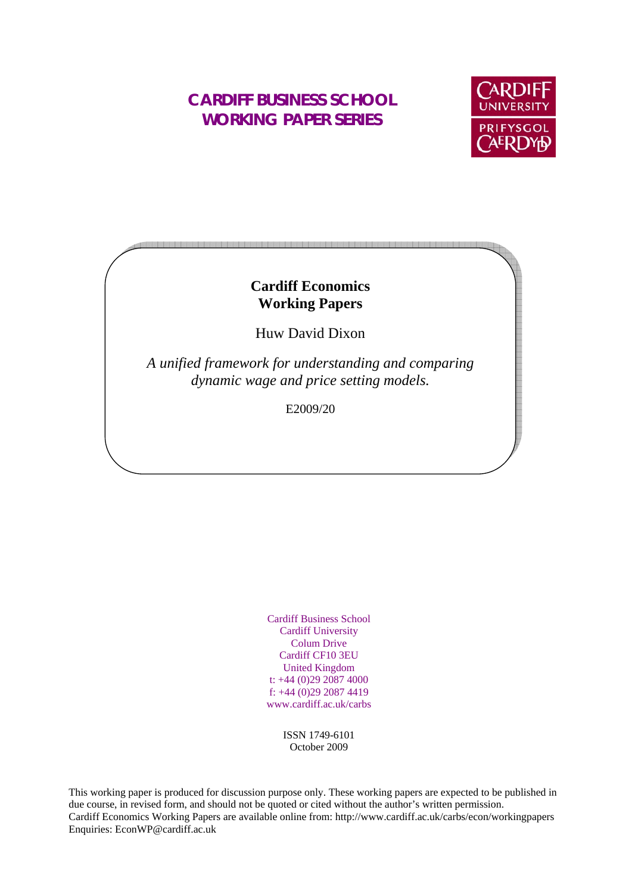# **CARDIFF BUSINESS SCHOOL WORKING PAPER SERIES**



# **Cardiff Economics Working Papers**

Huw David Dixon

*A unified framework for understanding and comparing dynamic wage and price setting models.* 

E2009/20

Cardiff Business School Cardiff University Colum Drive Cardiff CF10 3EU United Kingdom t: +44 (0)29 2087 4000 f: +44 (0)29 2087 4419 www.cardiff.ac.uk/carbs

> ISSN 1749-6101 October 2009

This working paper is produced for discussion purpose only. These working papers are expected to be published in due course, in revised form, and should not be quoted or cited without the author's written permission. Cardiff Economics Working Papers are available online from: http://www.cardiff.ac.uk/carbs/econ/workingpapers Enquiries: EconWP@cardiff.ac.uk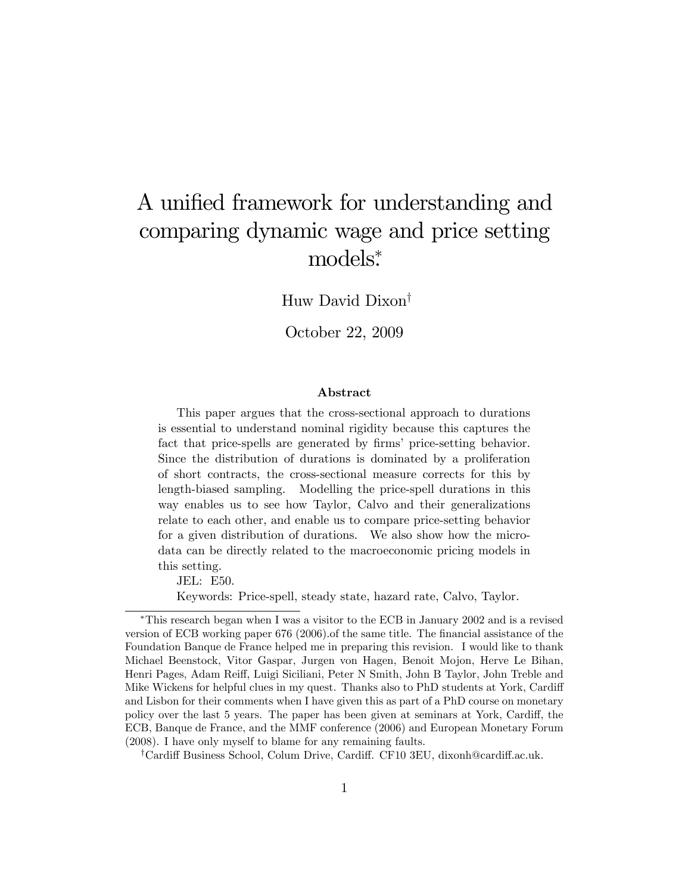# A unified framework for understanding and comparing dynamic wage and price setting models .

Huw David Dixon

October 22, 2009

#### Abstract

This paper argues that the cross-sectional approach to durations is essential to understand nominal rigidity because this captures the fact that price-spells are generated by firms' price-setting behavior. Since the distribution of durations is dominated by a proliferation of short contracts, the cross-sectional measure corrects for this by length-biased sampling. Modelling the price-spell durations in this way enables us to see how Taylor, Calvo and their generalizations relate to each other, and enable us to compare price-setting behavior for a given distribution of durations. We also show how the microdata can be directly related to the macroeconomic pricing models in this setting.

JEL: E50. Keywords: Price-spell, steady state, hazard rate, Calvo, Taylor.

This research began when I was a visitor to the ECB in January 2002 and is a revised version of ECB working paper 676 (2006). Of the same title. The financial assistance of the Foundation Banque de France helped me in preparing this revision. I would like to thank Michael Beenstock, Vitor Gaspar, Jurgen von Hagen, Benoit Mojon, Herve Le Bihan, Henri Pages, Adam Reiff, Luigi Siciliani, Peter N Smith, John B Taylor, John Treble and Mike Wickens for helpful clues in my quest. Thanks also to PhD students at York, Cardiff and Lisbon for their comments when I have given this as part of a PhD course on monetary policy over the last 5 years. The paper has been given at seminars at York, Cardiff, the ECB, Banque de France, and the MMF conference (2006) and European Monetary Forum (2008). I have only myself to blame for any remaining faults.

<sup>&</sup>lt;sup>†</sup>Cardiff Business School, Colum Drive, Cardiff. CF10 3EU, dixonh@cardiff.ac.uk.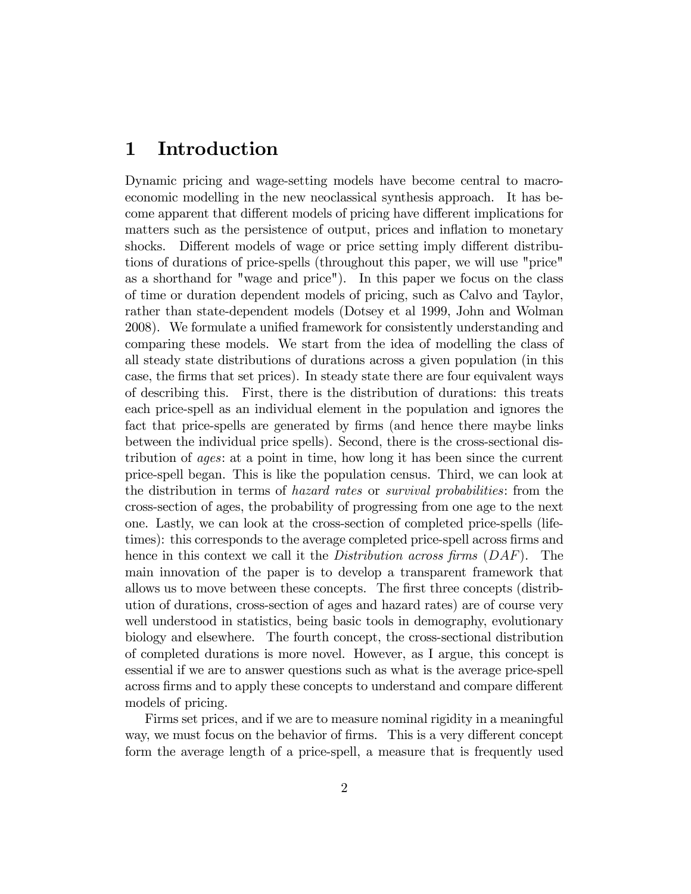# 1 Introduction

Dynamic pricing and wage-setting models have become central to macroeconomic modelling in the new neoclassical synthesis approach. It has become apparent that different models of pricing have different implications for matters such as the persistence of output, prices and inflation to monetary shocks. Different models of wage or price setting imply different distributions of durations of price-spells (throughout this paper, we will use "price" as a shorthand for "wage and price"). In this paper we focus on the class of time or duration dependent models of pricing, such as Calvo and Taylor, rather than state-dependent models (Dotsey et al 1999, John and Wolman 2008). We formulate a unified framework for consistently understanding and comparing these models. We start from the idea of modelling the class of all steady state distributions of durations across a given population (in this case, the Örms that set prices). In steady state there are four equivalent ways of describing this. First, there is the distribution of durations: this treats each price-spell as an individual element in the population and ignores the fact that price-spells are generated by firms (and hence there maybe links between the individual price spells). Second, there is the cross-sectional distribution of ages: at a point in time, how long it has been since the current price-spell began. This is like the population census. Third, we can look at the distribution in terms of hazard rates or survival probabilities: from the cross-section of ages, the probability of progressing from one age to the next one. Lastly, we can look at the cross-section of completed price-spells (lifetimes): this corresponds to the average completed price-spell across firms and hence in this context we call it the *Distribution across firms*  $(DAF)$ . The main innovation of the paper is to develop a transparent framework that allows us to move between these concepts. The first three concepts (distribution of durations, cross-section of ages and hazard rates) are of course very well understood in statistics, being basic tools in demography, evolutionary biology and elsewhere. The fourth concept, the cross-sectional distribution of completed durations is more novel. However, as I argue, this concept is essential if we are to answer questions such as what is the average price-spell across firms and to apply these concepts to understand and compare different models of pricing.

Firms set prices, and if we are to measure nominal rigidity in a meaningful way, we must focus on the behavior of firms. This is a very different concept form the average length of a price-spell, a measure that is frequently used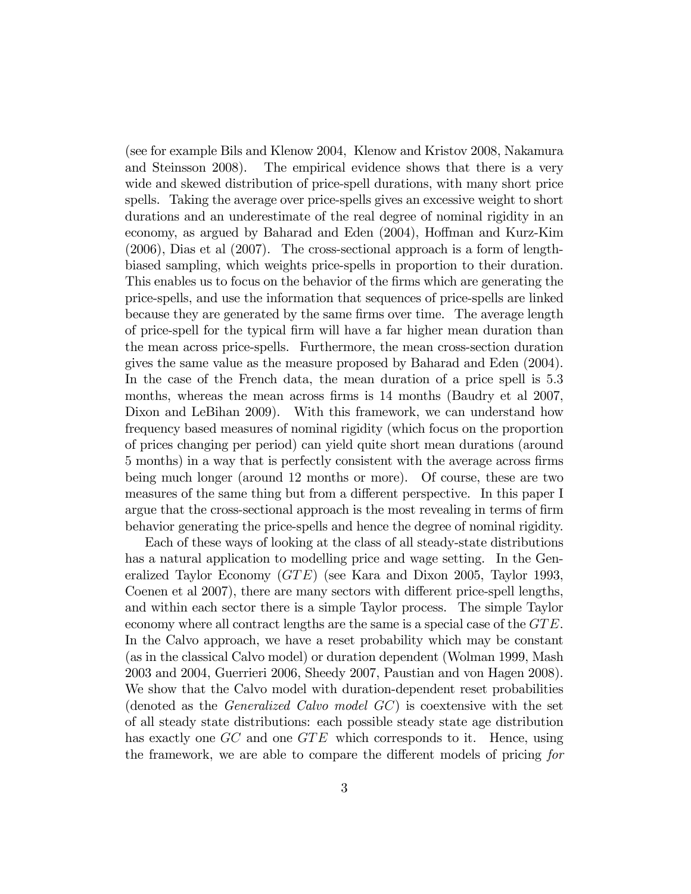(see for example Bils and Klenow 2004, Klenow and Kristov 2008, Nakamura and Steinsson 2008). The empirical evidence shows that there is a very wide and skewed distribution of price-spell durations, with many short price spells. Taking the average over price-spells gives an excessive weight to short durations and an underestimate of the real degree of nominal rigidity in an economy, as argued by Baharad and Eden  $(2004)$ , Hoffman and Kurz-Kim (2006), Dias et al (2007). The cross-sectional approach is a form of lengthbiased sampling, which weights price-spells in proportion to their duration. This enables us to focus on the behavior of the firms which are generating the price-spells, and use the information that sequences of price-spells are linked because they are generated by the same firms over time. The average length of price-spell for the typical Örm will have a far higher mean duration than the mean across price-spells. Furthermore, the mean cross-section duration gives the same value as the measure proposed by Baharad and Eden (2004). In the case of the French data, the mean duration of a price spell is 5:3 months, whereas the mean across firms is 14 months (Baudry et al 2007, Dixon and LeBihan 2009). With this framework, we can understand how frequency based measures of nominal rigidity (which focus on the proportion of prices changing per period) can yield quite short mean durations (around 5 months) in a way that is perfectly consistent with the average across Örms being much longer (around 12 months or more). Of course, these are two measures of the same thing but from a different perspective. In this paper I argue that the cross-sectional approach is the most revealing in terms of firm behavior generating the price-spells and hence the degree of nominal rigidity.

Each of these ways of looking at the class of all steady-state distributions has a natural application to modelling price and wage setting. In the Generalized Taylor Economy  $(GTE)$  (see Kara and Dixon 2005, Taylor 1993, Coenen et al 2007), there are many sectors with different price-spell lengths, and within each sector there is a simple Taylor process. The simple Taylor economy where all contract lengths are the same is a special case of the  $GTE$ . In the Calvo approach, we have a reset probability which may be constant (as in the classical Calvo model) or duration dependent (Wolman 1999, Mash 2003 and 2004, Guerrieri 2006, Sheedy 2007, Paustian and von Hagen 2008). We show that the Calvo model with duration-dependent reset probabilities (denoted as the Generalized Calvo model GC) is coextensive with the set of all steady state distributions: each possible steady state age distribution has exactly one  $GC$  and one  $GTE$  which corresponds to it. Hence, using the framework, we are able to compare the different models of pricing for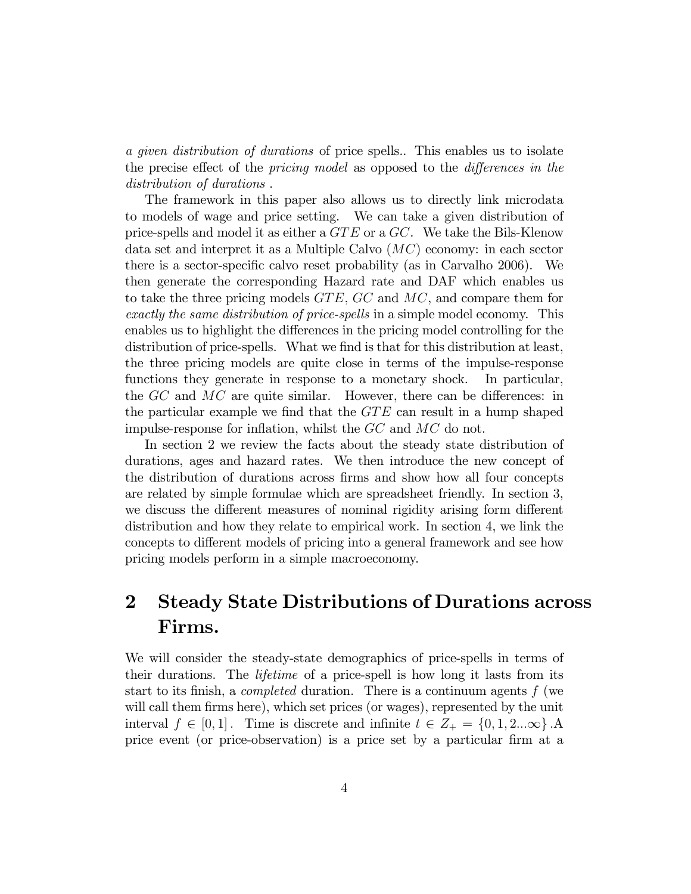a given distribution of durations of price spells.. This enables us to isolate the precise effect of the *pricing model* as opposed to the *differences in the* distribution of durations .

The framework in this paper also allows us to directly link microdata to models of wage and price setting. We can take a given distribution of price-spells and model it as either a  $GTE$  or a  $GC$ . We take the Bils-Klenow data set and interpret it as a Multiple Calvo (MC) economy: in each sector there is a sector-specific calvo reset probability (as in Carvalho 2006). We then generate the corresponding Hazard rate and DAF which enables us to take the three pricing models  $GTE$ ,  $GC$  and  $MC$ , and compare them for exactly the same distribution of price-spells in a simple model economy. This enables us to highlight the differences in the pricing model controlling for the distribution of price-spells. What we find is that for this distribution at least, the three pricing models are quite close in terms of the impulse-response functions they generate in response to a monetary shock. In particular, the  $GC$  and  $MC$  are quite similar. However, there can be differences: in the particular example we find that the  $GTE$  can result in a hump shaped impulse-response for inflation, whilst the  $GC$  and  $MC$  do not.

In section 2 we review the facts about the steady state distribution of durations, ages and hazard rates. We then introduce the new concept of the distribution of durations across Örms and show how all four concepts are related by simple formulae which are spreadsheet friendly. In section 3, we discuss the different measures of nominal rigidity arising form different distribution and how they relate to empirical work. In section 4, we link the concepts to different models of pricing into a general framework and see how pricing models perform in a simple macroeconomy.

# 2 Steady State Distributions of Durations across Firms.

We will consider the steady-state demographics of price-spells in terms of their durations. The lifetime of a price-spell is how long it lasts from its start to its finish, a *completed* duration. There is a continuum agents  $f$  (we will call them firms here), which set prices (or wages), represented by the unit interval  $f \in [0, 1]$ . Time is discrete and infinite  $t \in Z_+ = \{0, 1, 2...\infty\}$ . price event (or price-observation) is a price set by a particular firm at a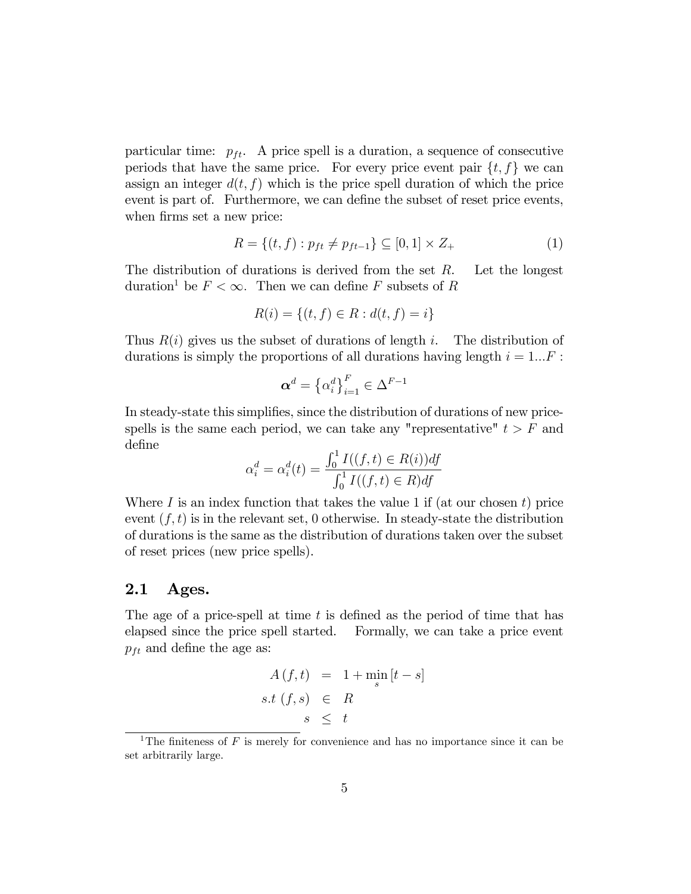particular time:  $p_{ft}$ . A price spell is a duration, a sequence of consecutive periods that have the same price. For every price event pair  $\{t, f\}$  we can assign an integer  $d(t, f)$  which is the price spell duration of which the price event is part of. Furthermore, we can define the subset of reset price events, when firms set a new price:

$$
R = \{(t, f) : p_{ft} \neq p_{ft-1}\} \subseteq [0, 1] \times Z_+ \tag{1}
$$

The distribution of durations is derived from the set  $R$ . Let the longest duration<sup>1</sup> be  $F < \infty$ . Then we can define F subsets of R

$$
R(i) = \{(t, f) \in R : d(t, f) = i\}
$$

Thus  $R(i)$  gives us the subset of durations of length i. The distribution of durations is simply the proportions of all durations having length  $i = 1...F$ :

$$
\boldsymbol{\alpha}^d = \left\{\alpha_i^d\right\}_{i=1}^F \in \Delta^{F-1}
$$

In steady-state this simplifies, since the distribution of durations of new pricespells is the same each period, we can take any "representative"  $t > F$  and define

$$
\alpha_i^d = \alpha_i^d(t) = \frac{\int_0^1 I((f, t) \in R(i)) df}{\int_0^1 I((f, t) \in R) df}
$$

Where I is an index function that takes the value 1 if (at our chosen t) price event  $(f, t)$  is in the relevant set, 0 otherwise. In steady-state the distribution of durations is the same as the distribution of durations taken over the subset of reset prices (new price spells).

#### 2.1 Ages.

The age of a price-spell at time  $t$  is defined as the period of time that has elapsed since the price spell started. Formally, we can take a price event  $p_{ft}$  and define the age as:

$$
A(f,t) = 1 + \min_{s} [t - s]
$$
  
s.t  $(f, s) \in R$   
 $s \leq t$ 

<sup>&</sup>lt;sup>1</sup>The finiteness of F is merely for convenience and has no importance since it can be set arbitrarily large.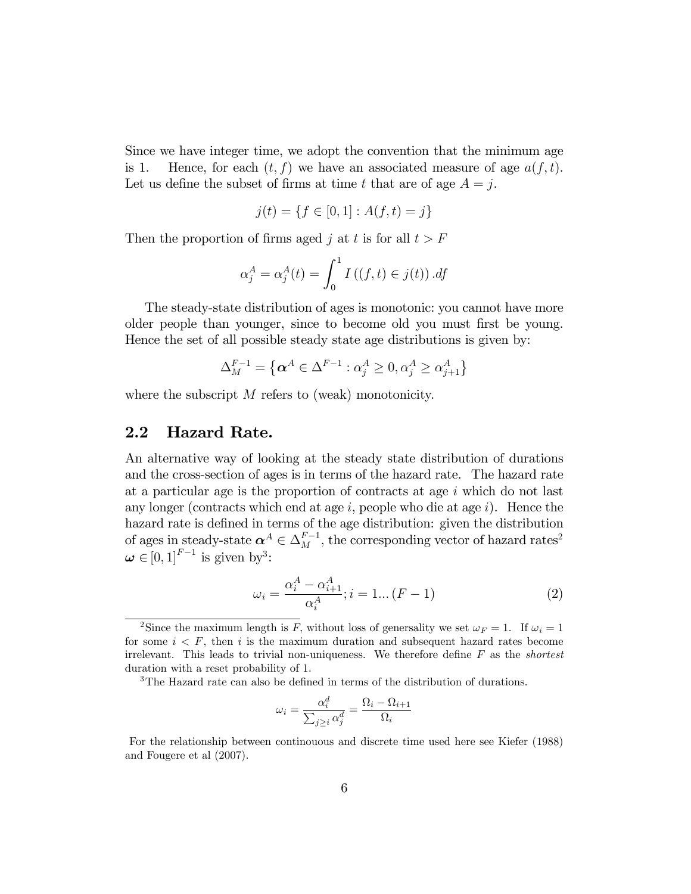Since we have integer time, we adopt the convention that the minimum age is 1. Hence, for each  $(t, f)$  we have an associated measure of age  $a(f, t)$ . Let us define the subset of firms at time t that are of age  $A = j$ .

$$
j(t) = \{ f \in [0, 1] : A(f, t) = j \}
$$

Then the proportion of firms aged j at t is for all  $t > F$ 

$$
\alpha_j^A = \alpha_j^A(t) = \int_0^1 I\left((f, t) \in j(t)\right).df
$$

The steady-state distribution of ages is monotonic: you cannot have more older people than younger, since to become old you must first be young. Hence the set of all possible steady state age distributions is given by:

$$
\Delta_M^{F-1} = \left\{ \alpha^A \in \Delta^{F-1} : \alpha_j^A \ge 0, \alpha_j^A \ge \alpha_{j+1}^A \right\}
$$

where the subscript  $M$  refers to (weak) monotonicity.

#### 2.2 Hazard Rate.

An alternative way of looking at the steady state distribution of durations and the cross-section of ages is in terms of the hazard rate. The hazard rate at a particular age is the proportion of contracts at age  $i$  which do not last any longer (contracts which end at age  $i$ , people who die at age  $i$ ). Hence the hazard rate is defined in terms of the age distribution: given the distribution of ages in steady-state  $\alpha^A \in \Delta_M^{F-1}$ , the corresponding vector of hazard rates<sup>2</sup>  $\boldsymbol{\omega} \in [0, 1]^{F-1}$  is given by<sup>3</sup>:

$$
\omega_i = \frac{\alpha_i^A - \alpha_{i+1}^A}{\alpha_i^A}; i = 1... (F - 1)
$$
 (2)

<sup>3</sup>The Hazard rate can also be defined in terms of the distribution of durations.

$$
\omega_i = \frac{\alpha_i^d}{\sum_{j \ge i} \alpha_j^d} = \frac{\Omega_i - \Omega_{i+1}}{\Omega_i}
$$

For the relationship between continouous and discrete time used here see Kiefer (1988) and Fougere et al (2007).

<sup>&</sup>lt;sup>2</sup>Since the maximum length is F, without loss of generality we set  $\omega_F = 1$ . If  $\omega_i = 1$ for some  $i \leq F$ , then i is the maximum duration and subsequent hazard rates become irrelevant. This leads to trivial non-uniqueness. We therefore define  $F$  as the *shortest* duration with a reset probability of 1: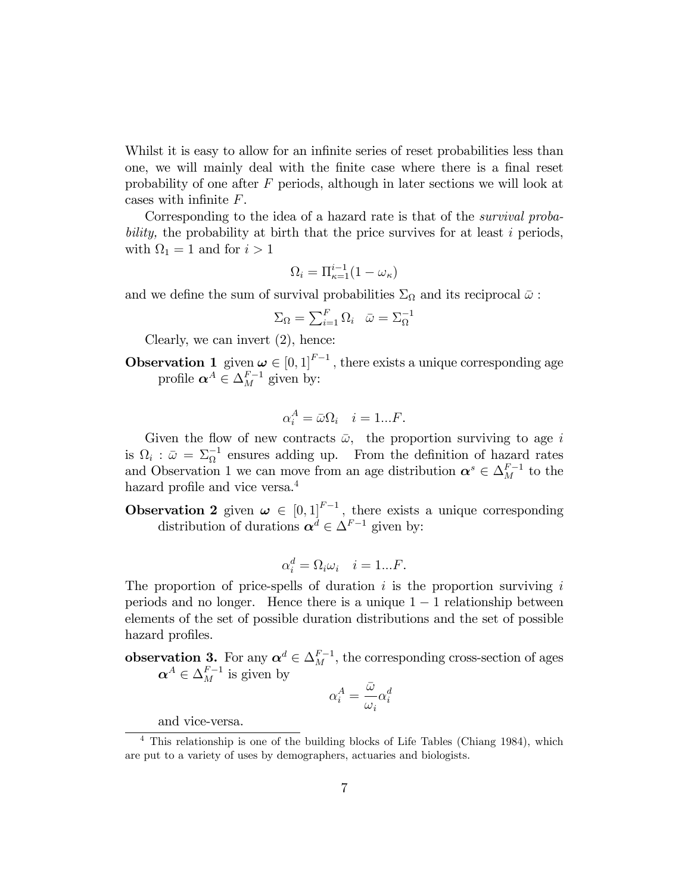Whilst it is easy to allow for an infinite series of reset probabilities less than one, we will mainly deal with the Önite case where there is a Önal reset probability of one after F periods, although in later sections we will look at cases with infinite  $F$ .

Corresponding to the idea of a hazard rate is that of the survival probability, the probability at birth that the price survives for at least i periods, with  $\Omega_1 = 1$  and for  $i > 1$ 

$$
\Omega_i = \Pi_{\kappa=1}^{i-1} (1 - \omega_\kappa)
$$

and we define the sum of survival probabilities  $\Sigma_{\Omega}$  and its reciprocal  $\bar{\omega}$ :

$$
\Sigma_{\Omega} = \sum_{i=1}^{F} \Omega_i \quad \bar{\omega} = \Sigma_{\Omega}^{-1}
$$

Clearly, we can invert (2), hence:

**Observation 1** given  $\boldsymbol{\omega} \in [0, 1]^{F-1}$ , there exists a unique corresponding age profile  $\boldsymbol{\alpha}^A \in \Delta_M^{F-1}$  given by:

$$
\alpha_i^A = \bar{\omega}\Omega_i \quad i = 1...F.
$$

Given the flow of new contracts  $\bar{\omega}$ , the proportion surviving to age i is  $\Omega_i$ :  $\bar{\omega} = \Sigma_{\Omega}^{-1}$  ensures adding up. From the definition of hazard rates and Observation 1 we can move from an age distribution  $\boldsymbol{\alpha}^s \in \Delta_M^{F-1}$  to the hazard profile and vice versa. $4$ 

**Observation 2** given  $\boldsymbol{\omega} \in [0, 1]^{F-1}$ , there exists a unique corresponding distribution of durations  $\boldsymbol{\alpha}^d \in \Delta^{F-1}$  given by:

$$
\alpha_i^d = \Omega_i \omega_i \quad i = 1...F.
$$

The proportion of price-spells of duration  $i$  is the proportion surviving  $i$ periods and no longer. Hence there is a unique  $1 - 1$  relationship between elements of the set of possible duration distributions and the set of possible hazard profiles.

**observation 3.** For any  $\alpha^d \in \Delta_M^{F-1}$ , the corresponding cross-section of ages  $\boldsymbol{\alpha}^A \in \Delta_M^{F-1}$  is given by

$$
\alpha_i^A = \frac{\bar{\omega}}{\omega_i} \alpha_i^d
$$

and vice-versa.

<sup>4</sup> This relationship is one of the building blocks of Life Tables (Chiang 1984), which are put to a variety of uses by demographers, actuaries and biologists.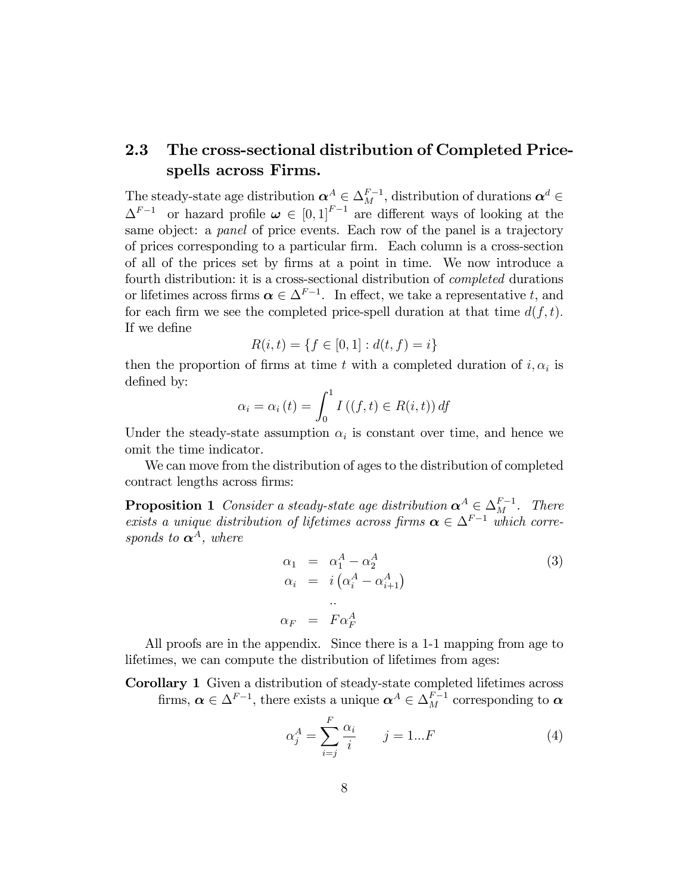# 2.3 The cross-sectional distribution of Completed Pricespells across Firms.

The steady-state age distribution  $\alpha^A \in \Delta_M^{F-1}$ , distribution of durations  $\alpha^d \in$  $\Delta^{F-1}$  or hazard profile  $\boldsymbol{\omega} \in [0,1]^{F-1}$  are different ways of looking at the same object: a *panel* of price events. Each row of the panel is a trajectory of prices corresponding to a particular Örm. Each column is a cross-section of all of the prices set by Örms at a point in time. We now introduce a fourth distribution: it is a cross-sectional distribution of completed durations or lifetimes across firms  $\alpha \in \Delta^{F-1}$ . In effect, we take a representative t, and for each firm we see the completed price-spell duration at that time  $d(f, t)$ . If we define

$$
R(i,t) = \{ f \in [0,1] : d(t,f) = i \}
$$

then the proportion of firms at time t with a completed duration of  $i, \alpha_i$  is defined by:

$$
\alpha_i = \alpha_i(t) = \int_0^1 I\left((f, t) \in R(i, t)\right) df
$$

Under the steady-state assumption  $\alpha_i$  is constant over time, and hence we omit the time indicator.

We can move from the distribution of ages to the distribution of completed contract lengths across firms:

**Proposition 1** Consider a steady-state age distribution  $\boldsymbol{\alpha}^A \in \Delta_M^{F-1}$ . There exists a unique distribution of lifetimes across firms  $\alpha \in \Delta^{F-1}$  which corresponds to  $\alpha^A$ , where

$$
\alpha_1 = \alpha_1^A - \alpha_2^A
$$
  
\n
$$
\alpha_i = i(\alpha_i^A - \alpha_{i+1}^A)
$$
  
\n
$$
\alpha_F = F\alpha_F^A
$$
\n(3)

All proofs are in the appendix. Since there is a 1-1 mapping from age to lifetimes, we can compute the distribution of lifetimes from ages:

Corollary 1 Given a distribution of steady-state completed lifetimes across firms,  $\boldsymbol{\alpha} \in \Delta^{F-1}$ , there exists a unique  $\boldsymbol{\alpha}^A \in \Delta^{F-1}_M$  corresponding to  $\boldsymbol{\alpha}$ 

$$
\alpha_j^A = \sum_{i=j}^F \frac{\alpha_i}{i} \qquad j = 1...F \tag{4}
$$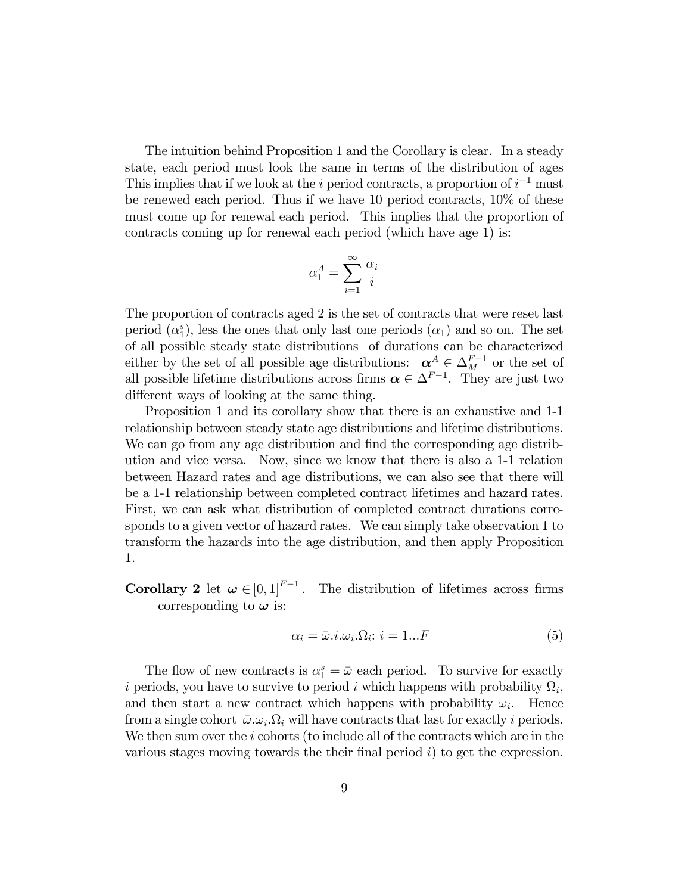The intuition behind Proposition 1 and the Corollary is clear. In a steady state, each period must look the same in terms of the distribution of ages This implies that if we look at the *i* period contracts, a proportion of  $i^{-1}$  must be renewed each period. Thus if we have 10 period contracts, 10% of these must come up for renewal each period. This implies that the proportion of contracts coming up for renewal each period (which have age 1) is:

$$
\alpha_1^A = \sum_{i=1}^{\infty} \frac{\alpha_i}{i}
$$

The proportion of contracts aged 2 is the set of contracts that were reset last period  $(\alpha_1^s)$ , less the ones that only last one periods  $(\alpha_1)$  and so on. The set of all possible steady state distributions of durations can be characterized either by the set of all possible age distributions:  $\alpha^A \in \Delta_M^{F-1}$  or the set of all possible lifetime distributions across firms  $\alpha \in \Delta^{F-1}$ . They are just two different ways of looking at the same thing.

Proposition 1 and its corollary show that there is an exhaustive and 1-1 relationship between steady state age distributions and lifetime distributions. We can go from any age distribution and find the corresponding age distribution and vice versa. Now, since we know that there is also a 1-1 relation between Hazard rates and age distributions, we can also see that there will be a 1-1 relationship between completed contract lifetimes and hazard rates. First, we can ask what distribution of completed contract durations corresponds to a given vector of hazard rates. We can simply take observation 1 to transform the hazards into the age distribution, and then apply Proposition 1.

**Corollary 2** let  $\boldsymbol{\omega} \in [0, 1]^{F-1}$ . The distribution of lifetimes across firms corresponding to  $\omega$  is:

$$
\alpha_i = \bar{\omega} . i . \omega_i . \Omega_i : i = 1 ... F \tag{5}
$$

The flow of new contracts is  $\alpha_1^s = \bar{\omega}$  each period. To survive for exactly i periods, you have to survive to period i which happens with probability  $\Omega_i$ , and then start a new contract which happens with probability  $\omega_i$ . Hence from a single cohort  $\bar{\omega}.\omega_i.\Omega_i$  will have contracts that last for exactly i periods. We then sum over the  $i$  cohorts (to include all of the contracts which are in the various stages moving towards the their final period  $i$ ) to get the expression.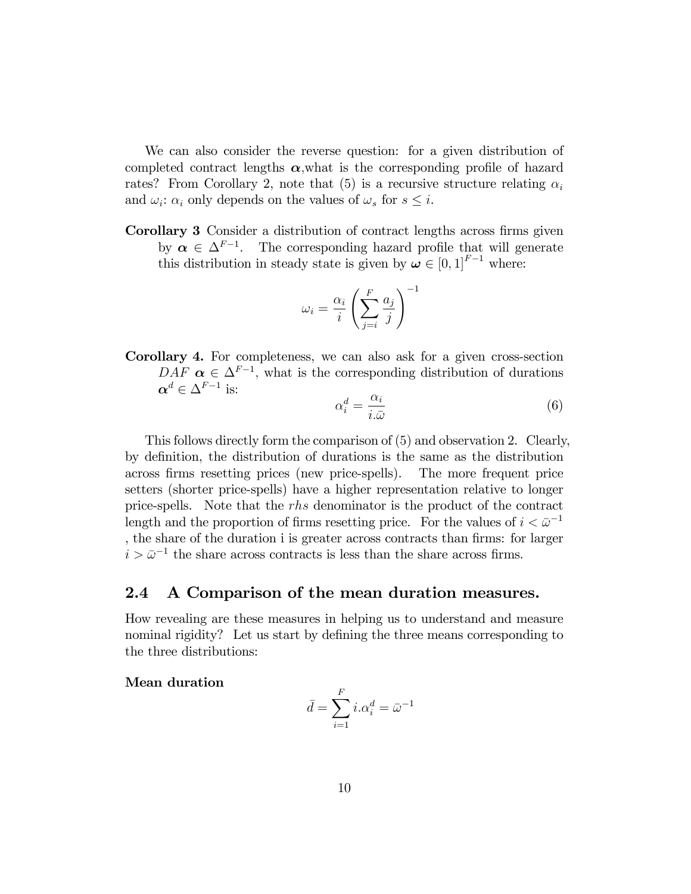We can also consider the reverse question: for a given distribution of completed contract lengths  $\alpha$ , what is the corresponding profile of hazard rates? From Corollary 2, note that (5) is a recursive structure relating  $\alpha_i$ and  $\omega_i$ :  $\alpha_i$  only depends on the values of  $\omega_s$  for  $s \leq i$ .

Corollary 3 Consider a distribution of contract lengths across firms given by  $\alpha \in \Delta^{F-1}$ . The corresponding hazard profile that will generate this distribution in steady state is given by  $\boldsymbol{\omega} \in [0, 1]^{F-1}$  where:

$$
\omega_i = \frac{\alpha_i}{i} \left( \sum_{j=i}^F \frac{a_j}{j} \right)^{-1}
$$

Corollary 4. For completeness, we can also ask for a given cross-section  $DAF \propto \xi \Delta^{F-1}$ , what is the corresponding distribution of durations  $\boldsymbol{\alpha}^d \in \Delta^{F-1}$  is:

$$
\alpha_i^d = \frac{\alpha_i}{i.\bar{\omega}}\tag{6}
$$

This follows directly form the comparison of (5) and observation 2. Clearly, by definition, the distribution of durations is the same as the distribution across Örms resetting prices (new price-spells). The more frequent price setters (shorter price-spells) have a higher representation relative to longer price-spells. Note that the rhs denominator is the product of the contract length and the proportion of firms resetting price. For the values of  $i < \bar{\omega}^{-1}$ , the share of the duration i is greater across contracts than firms: for larger  $i > \bar{\omega}^{-1}$  the share across contracts is less than the share across firms.

#### 2.4 A Comparison of the mean duration measures.

How revealing are these measures in helping us to understand and measure nominal rigidity? Let us start by defining the three means corresponding to the three distributions:

Mean duration

$$
\bar{d} = \sum_{i=1}^{F} i \cdot \alpha_i^d = \bar{\omega}^{-1}
$$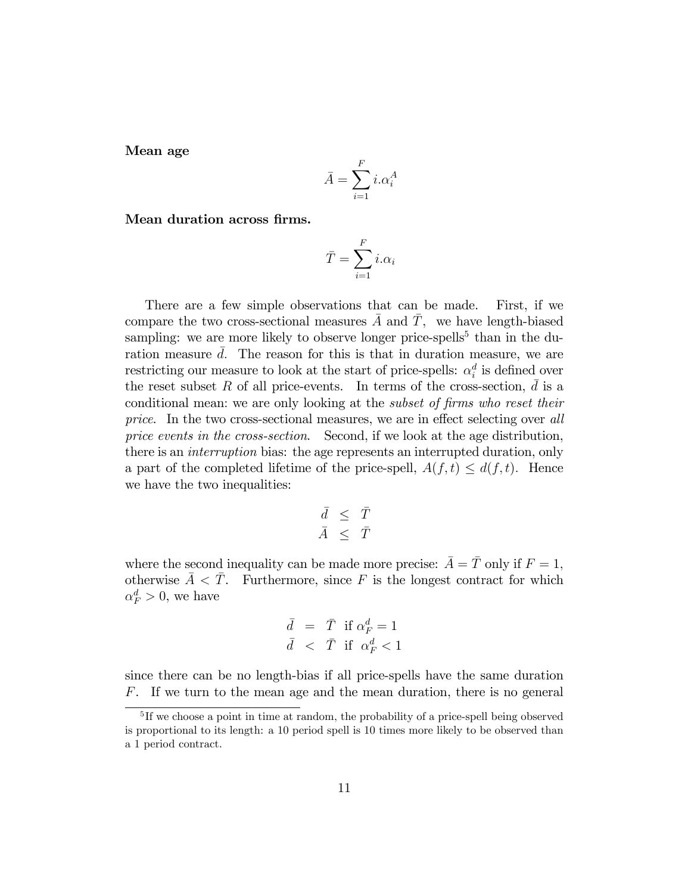Mean age

$$
\bar{A} = \sum_{i=1}^{F} i \cdot \alpha_i^A
$$

Mean duration across firms.

$$
\bar{T} = \sum_{i=1}^{F} i.\alpha_i
$$

There are a few simple observations that can be made. First, if we compare the two cross-sectional measures  $\overline{A}$  and  $\overline{T}$ , we have length-biased sampling: we are more likely to observe longer price-spells<sup>5</sup> than in the duration measure  $\overline{d}$ . The reason for this is that in duration measure, we are restricting our measure to look at the start of price-spells:  $\alpha_i^d$  is defined over the reset subset R of all price-events. In terms of the cross-section,  $\overline{d}$  is a conditional mean: we are only looking at the *subset of firms who reset their* price. In the two cross-sectional measures, we are in effect selecting over all price events in the cross-section. Second, if we look at the age distribution, there is an interruption bias: the age represents an interrupted duration, only a part of the completed lifetime of the price-spell,  $A(f, t) \leq d(f, t)$ . Hence we have the two inequalities:

$$
\begin{array}{rcl} \bar d &\leq& \bar T \\ \bar A &\leq& \bar T \end{array}
$$

where the second inequality can be made more precise:  $\overline{A} = \overline{T}$  only if  $F = 1$ , otherwise  $\overline{A} < \overline{T}$ . Furthermore, since F is the longest contract for which  $\alpha_F^d > 0$ , we have

$$
\begin{array}{rcl} \bar d &=& \bar T \;\text{ if } \alpha_F^d = 1 \\ \bar d &=& \bar T \;\text{ if } \;\alpha_F^d < 1 \end{array}
$$

since there can be no length-bias if all price-spells have the same duration F. If we turn to the mean age and the mean duration, there is no general

<sup>&</sup>lt;sup>5</sup>If we choose a point in time at random, the probability of a price-spell being observed is proportional to its length: a 10 period spell is 10 times more likely to be observed than a 1 period contract.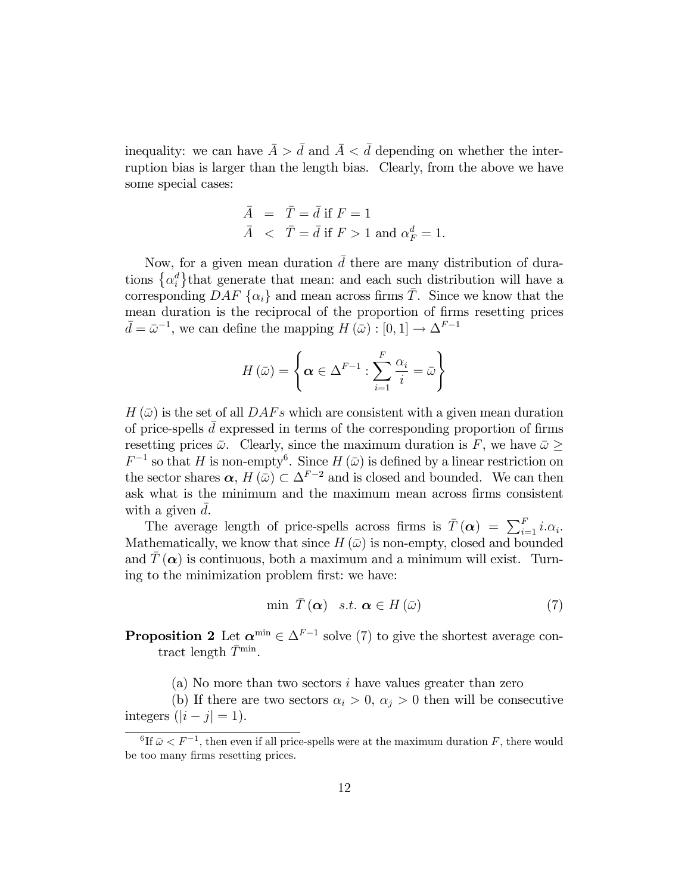inequality: we can have  $\bar{A} > \bar{d}$  and  $\bar{A} < \bar{d}$  depending on whether the interruption bias is larger than the length bias. Clearly, from the above we have some special cases:

$$
\begin{array}{lcl} \bar{A} & = & \bar{T} = \bar{d} \text{ if } F = 1 \\ \bar{A} & < & \bar{T} = \bar{d} \text{ if } F > 1 \text{ and } \alpha_F^d = 1. \end{array}
$$

Now, for a given mean duration  $\bar{d}$  there are many distribution of durations  $\{\alpha_i^d\}$  that generate that mean: and each such distribution will have a corresponding DAF  $\{\alpha_i\}$  and mean across firms  $\overline{T}$ . Since we know that the mean duration is the reciprocal of the proportion of firms resetting prices  $\bar{d} = \bar{\omega}^{-1}$ , we can define the mapping  $H(\bar{\omega}) : [0, 1] \to \Delta^{F-1}$ 

$$
H(\bar{\omega}) = \left\{ \alpha \in \Delta^{F-1} : \sum_{i=1}^{F} \frac{\alpha_i}{i} = \bar{\omega} \right\}
$$

 $H(\bar{\omega})$  is the set of all  $DAFs$  which are consistent with a given mean duration of price-spells  $\bar{d}$  expressed in terms of the corresponding proportion of firms resetting prices  $\bar{\omega}$ . Clearly, since the maximum duration is F, we have  $\bar{\omega} \geq$  $F^{-1}$  so that H is non-empty<sup>6</sup>. Since H  $(\bar{\omega})$  is defined by a linear restriction on the sector shares  $\alpha$ ,  $H(\bar{\omega}) \subset \Delta^{F-2}$  and is closed and bounded. We can then ask what is the minimum and the maximum mean across firms consistent with a given d.

The average length of price-spells across firms is  $\bar{T}(\alpha) = \sum_{i=1}^{F} i \alpha_i$ . Mathematically, we know that since  $H(\bar{\omega})$  is non-empty, closed and bounded and  $T(\boldsymbol{\alpha})$  is continuous, both a maximum and a minimum will exist. Turning to the minimization problem first: we have:

$$
\min \ \bar{T}(\alpha) \quad s.t. \ \alpha \in H(\bar{\omega}) \tag{7}
$$

**Proposition 2** Let  $\alpha^{\min} \in \Delta^{F-1}$  solve (7) to give the shortest average contract length  $\bar{T}^{\min}$ .

(a) No more than two sectors i have values greater than zero

(b) If there are two sectors  $\alpha_i > 0$ ,  $\alpha_j > 0$  then will be consecutive integers  $(|i - j| = 1)$ .

 ${}^{6}$ If  $\bar{\omega} < F^{-1}$ , then even if all price-spells were at the maximum duration F, there would be too many firms resetting prices.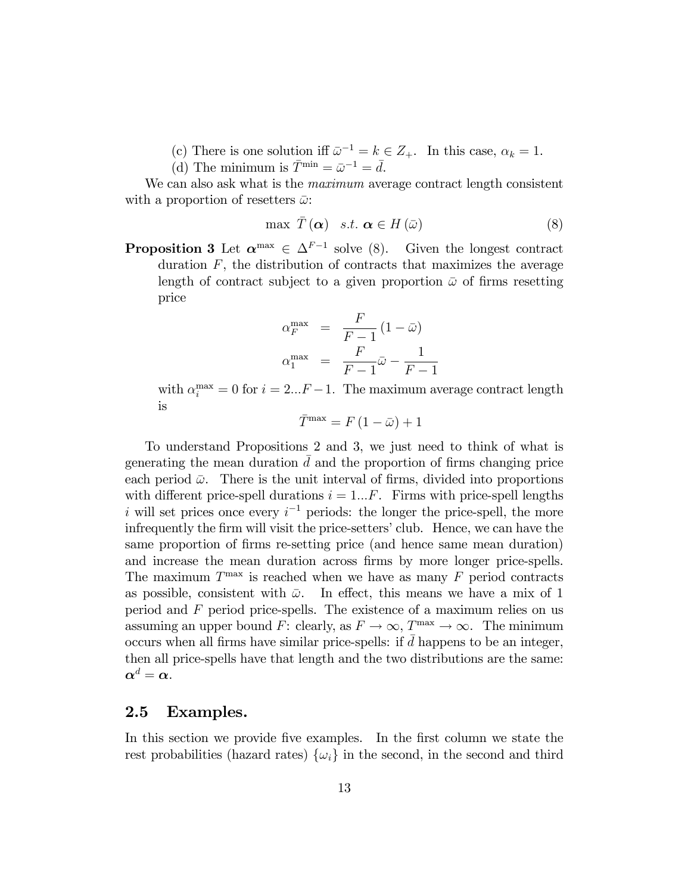- (c) There is one solution iff  $\bar{\omega}^{-1} = k \in Z_+$ . In this case,  $\alpha_k = 1$ .
- (d) The minimum is  $\overline{T}^{\min} = \overline{\omega}^{-1} = \overline{d}$ .

We can also ask what is the *maximum* average contract length consistent with a proportion of resetters  $\bar{\omega}$ :

$$
\max \ \overline{T}(\alpha) \quad s.t. \ \alpha \in H(\bar{\omega}) \tag{8}
$$

**Proposition 3** Let  $\alpha^{\max} \in \Delta^{F-1}$  solve (8). Given the longest contract duration  $F$ , the distribution of contracts that maximizes the average length of contract subject to a given proportion  $\bar{\omega}$  of firms resetting price

$$
\alpha_F^{\max} = \frac{F}{F-1} (1 - \bar{\omega})
$$

$$
\alpha_1^{\max} = \frac{F}{F-1} \bar{\omega} - \frac{1}{F-1}
$$

with  $\alpha_i^{\max} = 0$  for  $i = 2...F - 1$ . The maximum average contract length is

$$
\bar{T}^{\max}=F\left(1-\bar{\omega}\right)+1
$$

To understand Propositions 2 and 3, we just need to think of what is generating the mean duration  $d$  and the proportion of firms changing price each period  $\bar{\omega}$ . There is the unit interval of firms, divided into proportions with different price-spell durations  $i = 1...F$ . Firms with price-spell lengths i will set prices once every  $i^{-1}$  periods: the longer the price-spell, the more infrequently the firm will visit the price-setters' club. Hence, we can have the same proportion of firms re-setting price (and hence same mean duration) and increase the mean duration across firms by more longer price-spells. The maximum  $T^{\max}$  is reached when we have as many  $F$  period contracts as possible, consistent with  $\bar{\omega}$ . In effect, this means we have a mix of 1 period and F period price-spells. The existence of a maximum relies on us assuming an upper bound F: clearly, as  $F \to \infty$ ,  $T^{\max} \to \infty$ . The minimum occurs when all firms have similar price-spells: if  $d$  happens to be an integer, then all price-spells have that length and the two distributions are the same:  $\boldsymbol{\alpha}^d = \boldsymbol{\alpha}.$ 

#### 2.5 Examples.

In this section we provide five examples. In the first column we state the rest probabilities (hazard rates)  $\{\omega_i\}$  in the second, in the second and third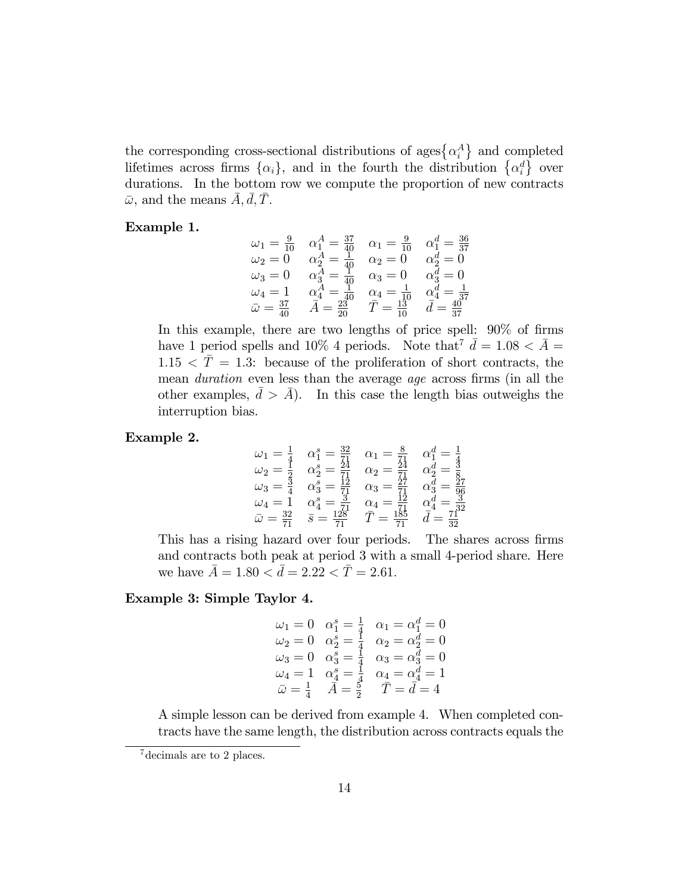the corresponding cross-sectional distributions of ages $\{\alpha_i^A\}$  and completed lifetimes across firms  $\{\alpha_i\}$ , and in the fourth the distribution  $\{\alpha_i^d\}$  over durations. In the bottom row we compute the proportion of new contracts  $\bar{\omega}$ , and the means  $A, d, T$ .

#### Example 1.

$$
\begin{array}{ccc}\n\omega_1 = \frac{9}{10} & \alpha_1^A = \frac{37}{40} & \alpha_1 = \frac{9}{10} & \alpha_1^d = \frac{36}{37} \\
\omega_2 = 0 & \alpha_2^A = \frac{1}{40} & \alpha_2 = 0 & \alpha_2^d = 0 \\
\omega_3 = 0 & \alpha_3^A = \frac{1}{40} & \alpha_3 = 0 & \alpha_3^d = 0 \\
\omega_4 = 1 & \alpha_4^A = \frac{1}{40} & \alpha_4 = \frac{1}{10} & \alpha_4^d = \frac{1}{37} \\
\bar{\omega} = \frac{37}{40} & \bar{A} = \frac{23}{20} & \bar{T} = \frac{13}{10} & \bar{d} = \frac{40}{37}\n\end{array}
$$

In this example, there are two lengths of price spell:  $90\%$  of firms have 1 period spells and 10% 4 periods. Note that  $\bar{d} = 1.08 < \bar{A}$  $1.15 < \bar{T} = 1.3$ : because of the proliferation of short contracts, the mean *duration* even less than the average *age* across firms (in all the other examples,  $d > A$ ). In this case the length bias outweighs the interruption bias.

#### Example 2.

$$
\begin{array}{rcl}\n\omega_1 &= \frac{1}{4} & \alpha_1^s = \frac{32}{71} & \alpha_1 = \frac{8}{71} & \alpha_1^d = \frac{1}{4} \\
\omega_2 &= \frac{1}{2} & \alpha_2^s = \frac{24}{71} & \alpha_2 = \frac{24}{71} & \alpha_2^d = \frac{3}{8} \\
\omega_3 &= \frac{3}{4} & \alpha_3^s = \frac{12}{71} & \alpha_3 = \frac{27}{71} & \alpha_3^d = \frac{27}{96} \\
\omega_4 &= 1 & \alpha_4^s = \frac{3}{71} & \alpha_4 = \frac{12}{71} & \alpha_4^d = \frac{3}{32} \\
\bar{\omega} &= \frac{32}{71} & \bar{s} = \frac{128}{71} & \bar{T} = \frac{185}{71} & \bar{d} = \frac{71}{32}\n\end{array}
$$

This has a rising hazard over four periods. The shares across firms and contracts both peak at period 3 with a small 4-period share. Here we have  $\bar{A} = 1.80 < \bar{d} = 2.22 < \bar{T} = 2.61$ .

#### Example 3: Simple Taylor 4.

$$
\begin{array}{rcl}\n\omega_1 = 0 & \alpha_1^s = \frac{1}{4} & \alpha_1 = \alpha_1^d = 0 \\
\omega_2 = 0 & \alpha_2^s = \frac{1}{4} & \alpha_2 = \alpha_2^d = 0 \\
\omega_3 = 0 & \alpha_3^s = \frac{1}{4} & \alpha_3 = \alpha_3^d = 0 \\
\omega_4 = 1 & \alpha_4^s = \frac{1}{4} & \alpha_4 = \alpha_4^d = 1 \\
\bar{\omega} = \frac{1}{4} & \bar{A} = \frac{5}{2} & \bar{T} = \bar{d} = 4\n\end{array}
$$

A simple lesson can be derived from example 4. When completed contracts have the same length, the distribution across contracts equals the

decimals are to 2 places.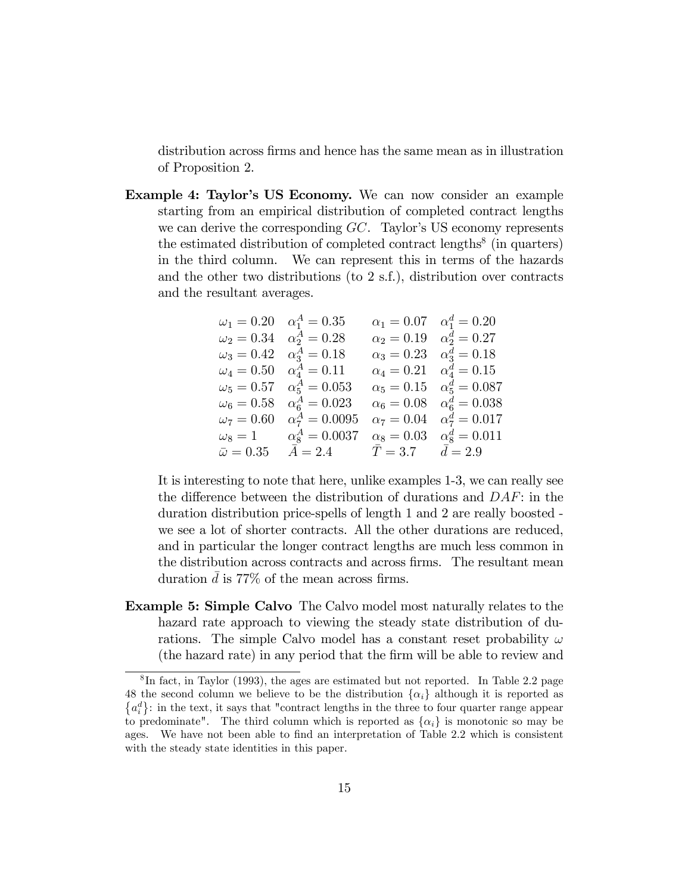distribution across firms and hence has the same mean as in illustration of Proposition 2.

Example 4: Taylor's US Economy. We can now consider an example starting from an empirical distribution of completed contract lengths we can derive the corresponding  $GC$ . Taylor's US economy represents the estimated distribution of completed contract lengths<sup>8</sup> (in quarters) in the third column. We can represent this in terms of the hazards and the other two distributions (to 2 s.f.), distribution over contracts and the resultant averages.

|                     | $\omega_1 = 0.20 \quad \alpha_1^A = 0.35$ |                   | $\alpha_1 = 0.07 \quad \alpha_1^d = 0.20$ |
|---------------------|-------------------------------------------|-------------------|-------------------------------------------|
| $\omega_2 = 0.34$   | $\alpha_2^A = 0.28$                       | $\alpha_2 = 0.19$ | $\alpha_2^d = 0.27$                       |
| $\omega_3 = 0.42$   | $\alpha_3^A = 0.18$                       | $\alpha_3 = 0.23$ | $\alpha_3^d = 0.18$                       |
| $\omega_4 = 0.50$   | $\alpha_{4}^{A} = 0.11$                   | $\alpha_4 = 0.21$ | $\alpha_4^d = 0.15$                       |
| $\omega_5=0.57$     | $\alpha_5^A = 0.053$                      | $\alpha_5 = 0.15$ | $\alpha_5^d = 0.087$                      |
| $\omega_6 = 0.58$   | $\alpha_6^A = 0.023$                      | $\alpha_6 = 0.08$ | $\alpha_6^d = 0.038$                      |
| $\omega_7 = 0.60$   | $\alpha_7^A = 0.0095$                     | $\alpha_7 = 0.04$ | $\alpha_7^d = 0.017$                      |
| $\omega_8=1$        | $\alpha_{8}^{A} = 0.0037$                 | $\alpha_8 = 0.03$ | $\alpha_{8}^{d} = 0.011$                  |
| $\bar{\omega}=0.35$ | $\bar{A}=2.4$                             | $\bar{T}=3.7$     | $\bar{d}=2.9$                             |

It is interesting to note that here, unlike examples 1-3, we can really see the difference between the distribution of durations and  $DAF$ : in the duration distribution price-spells of length 1 and 2 are really boosted we see a lot of shorter contracts. All the other durations are reduced, and in particular the longer contract lengths are much less common in the distribution across contracts and across firms. The resultant mean duration  $d$  is 77% of the mean across firms.

Example 5: Simple Calvo The Calvo model most naturally relates to the hazard rate approach to viewing the steady state distribution of durations. The simple Calvo model has a constant reset probability  $\omega$ (the hazard rate) in any period that the Örm will be able to review and

 ${}^{8}$ In fact, in Taylor (1993), the ages are estimated but not reported. In Table 2.2 page 48 the second column we believe to be the distribution  $\{\alpha_i\}$  although it is reported as  ${a_i^d}$ : in the text, it says that "contract lengths in the three to four quarter range appear to predominate". The third column which is reported as  $\{\alpha_i\}$  is monotonic so may be ages. We have not been able to find an interpretation of Table 2.2 which is consistent with the steady state identities in this paper.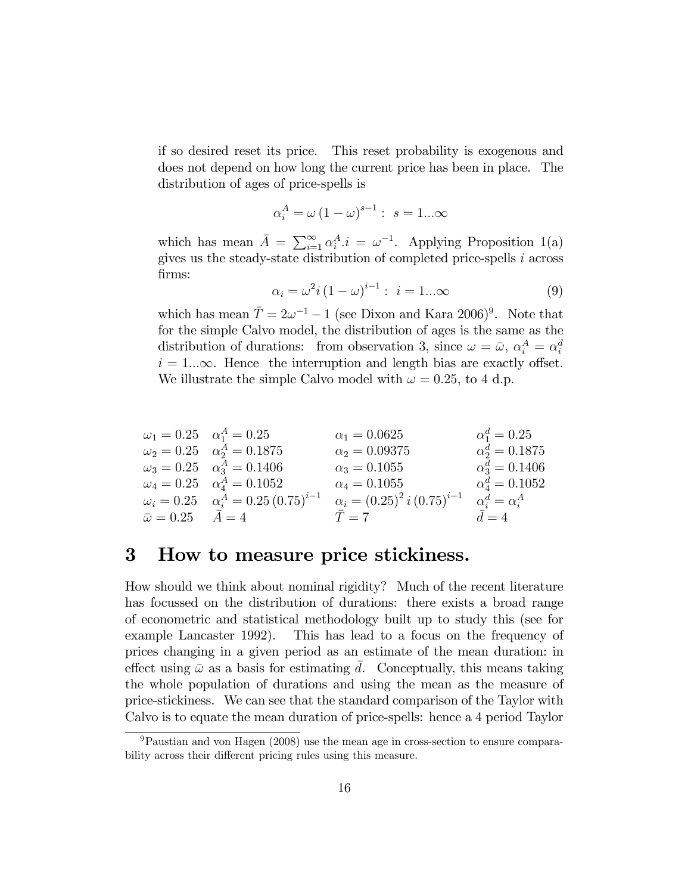if so desired reset its price. This reset probability is exogenous and does not depend on how long the current price has been in place. The distribution of ages of price-spells is

$$
\alpha_i^A = \omega \left(1 - \omega\right)^{s-1} : s = 1...\infty
$$

which has mean  $\bar{A} = \sum_{i=1}^{\infty} \alpha_i^A \cdot i = \omega^{-1}$ . Applying Proposition 1(a) gives us the steady-state distribution of completed price-spells i across firms:

$$
\alpha_i = \omega^2 i (1 - \omega)^{i - 1} : i = 1...\infty
$$
 (9)

which has mean  $\overline{T} = 2\omega^{-1} - 1$  (see Dixon and Kara 2006)<sup>9</sup>. Note that for the simple Calvo model, the distribution of ages is the same as the distribution of durations: from observation 3, since  $\omega = \bar{\omega}$ ,  $\alpha_i^A = \alpha_i^d$  $i = 1...\infty$ . Hence the interruption and length bias are exactly offset. We illustrate the simple Calvo model with  $\omega = 0.25$ , to 4 d.p.

$$
\begin{array}{llll}\n\omega_1 = 0.25 & \alpha_1^A = 0.25 & \alpha_1 = 0.0625 & \alpha_1^d = 0.25 \\
\omega_2 = 0.25 & \alpha_2^A = 0.1875 & \alpha_2 = 0.09375 & \alpha_2^d = 0.1875 \\
\omega_3 = 0.25 & \alpha_3^A = 0.1406 & \alpha_3 = 0.1055 & \alpha_4^d = 0.1406 \\
\omega_4 = 0.25 & \alpha_4^A = 0.25(0.75)^{i-1} & \alpha_i = (0.25)^2 i (0.75)^{i-1} & \alpha_i^d = \alpha_i^A \\
\bar{\omega} = 0.25 & \bar{A} = 4 & \bar{T} = 7 & \bar{d} = 4\n\end{array}
$$

# 3 How to measure price stickiness.

How should we think about nominal rigidity? Much of the recent literature has focussed on the distribution of durations: there exists a broad range of econometric and statistical methodology built up to study this (see for example Lancaster 1992). This has lead to a focus on the frequency of prices changing in a given period as an estimate of the mean duration: in effect using  $\bar{\omega}$  as a basis for estimating d. Conceptually, this means taking the whole population of durations and using the mean as the measure of price-stickiness. We can see that the standard comparison of the Taylor with Calvo is to equate the mean duration of price-spells: hence a 4 period Taylor

<sup>9</sup>Paustian and von Hagen (2008) use the mean age in cross-section to ensure comparability across their different pricing rules using this measure.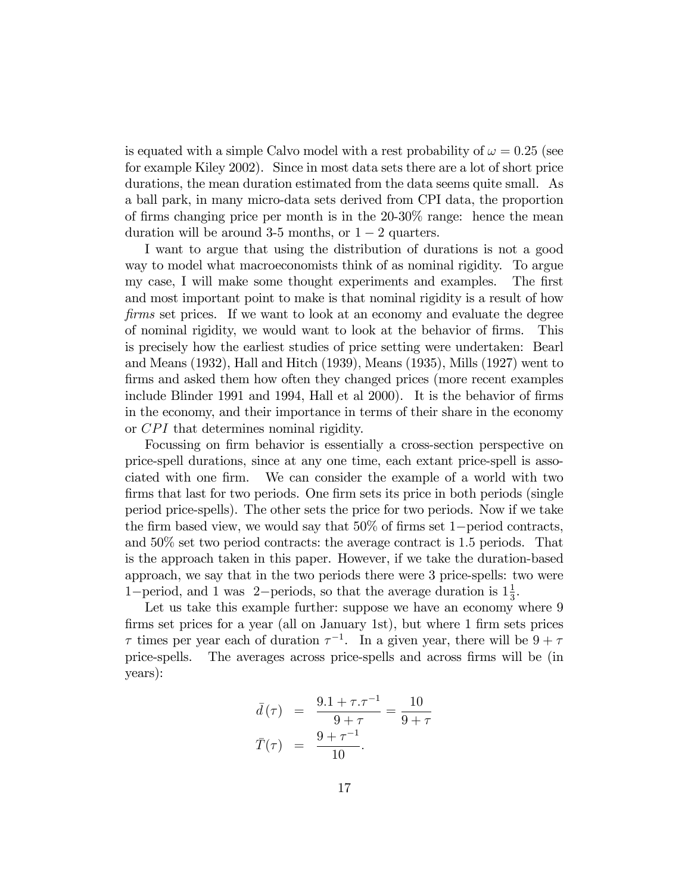is equated with a simple Calvo model with a rest probability of  $\omega = 0.25$  (see for example Kiley 2002). Since in most data sets there are a lot of short price durations, the mean duration estimated from the data seems quite small. As a ball park, in many micro-data sets derived from CPI data, the proportion of firms changing price per month is in the  $20-30\%$  range: hence the mean duration will be around 3-5 months, or  $1 - 2$  quarters.

I want to argue that using the distribution of durations is not a good way to model what macroeconomists think of as nominal rigidity. To argue my case, I will make some thought experiments and examples. The first and most important point to make is that nominal rigidity is a result of how firms set prices. If we want to look at an economy and evaluate the degree of nominal rigidity, we would want to look at the behavior of Örms. This is precisely how the earliest studies of price setting were undertaken: Bearl and Means (1932), Hall and Hitch (1939); Means (1935), Mills (1927) went to firms and asked them how often they changed prices (more recent examples include Blinder 1991 and 1994, Hall et al 2000). It is the behavior of firms in the economy, and their importance in terms of their share in the economy or CPI that determines nominal rigidity.

Focussing on firm behavior is essentially a cross-section perspective on price-spell durations, since at any one time, each extant price-spell is associated with one firm. We can consider the example of a world with two firms that last for two periods. One firm sets its price in both periods (single period price-spells). The other sets the price for two periods. Now if we take the firm based view, we would say that  $50\%$  of firms set 1-period contracts, and 50% set two period contracts: the average contract is 1:5 periods. That is the approach taken in this paper. However, if we take the duration-based approach, we say that in the two periods there were 3 price-spells: two were 1-period, and 1 was 2-periods, so that the average duration is  $1\frac{1}{3}$  $\frac{1}{3}$ .

Let us take this example further: suppose we have an economy where 9 firms set prices for a year (all on January 1st), but where 1 firm sets prices  $\tau$  times per year each of duration  $\tau^{-1}$ . In a given year, there will be  $9 + \tau$ price-spells. The averages across price-spells and across Örms will be (in years):

$$
\bar{d}(\tau) = \frac{9.1 + \tau \cdot \tau^{-1}}{9 + \tau} = \frac{10}{9 + \tau}
$$
\n
$$
\bar{T}(\tau) = \frac{9 + \tau^{-1}}{10}.
$$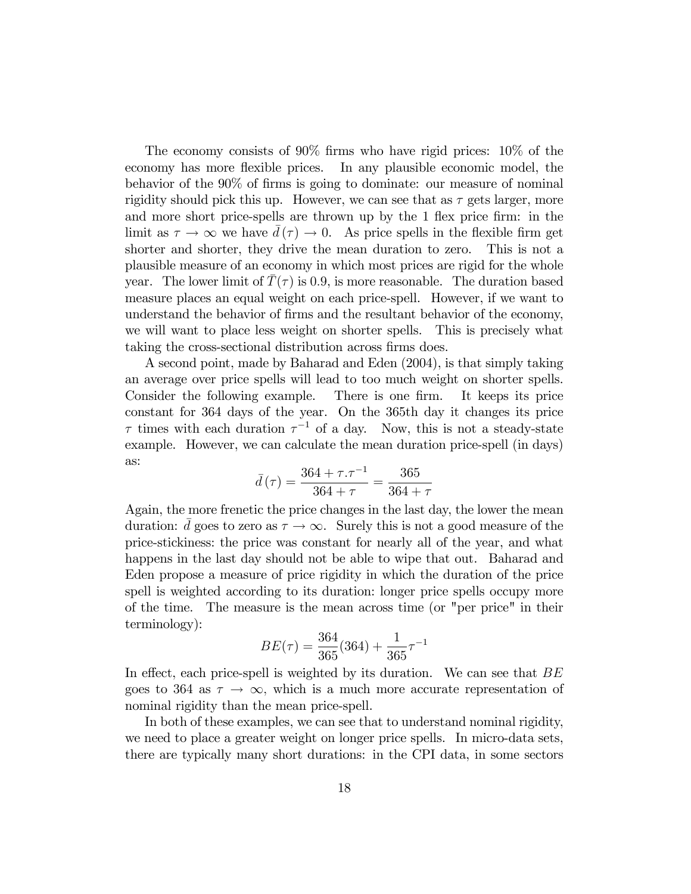The economy consists of  $90\%$  firms who have rigid prices:  $10\%$  of the economy has more flexible prices. In any plausible economic model, the behavior of the 90% of firms is going to dominate: our measure of nominal rigidity should pick this up. However, we can see that as  $\tau$  gets larger, more and more short price-spells are thrown up by the 1 flex price firm: in the limit as  $\tau \to \infty$  we have  $d(\tau) \to 0$ . As price spells in the flexible firm get shorter and shorter, they drive the mean duration to zero. This is not a shorter and shorter, they drive the mean duration to zero. plausible measure of an economy in which most prices are rigid for the whole year. The lower limit of  $T(\tau)$  is 0.9, is more reasonable. The duration based measure places an equal weight on each price-spell. However, if we want to understand the behavior of firms and the resultant behavior of the economy, we will want to place less weight on shorter spells. This is precisely what taking the cross-sectional distribution across firms does.

A second point, made by Baharad and Eden (2004), is that simply taking an average over price spells will lead to too much weight on shorter spells. Consider the following example. There is one firm. It keeps its price constant for 364 days of the year. On the 365th day it changes its price  $\tau$  times with each duration  $\tau^{-1}$  of a day. Now, this is not a steady-state example. However, we can calculate the mean duration price-spell (in days) as:

$$
\bar{d}(\tau) = \frac{364 + \tau \cdot \tau^{-1}}{364 + \tau} = \frac{365}{364 + \tau}
$$

Again, the more frenetic the price changes in the last day, the lower the mean duration: d goes to zero as  $\tau \to \infty$ . Surely this is not a good measure of the price-stickiness: the price was constant for nearly all of the year, and what happens in the last day should not be able to wipe that out. Baharad and Eden propose a measure of price rigidity in which the duration of the price spell is weighted according to its duration: longer price spells occupy more of the time. The measure is the mean across time (or "per price" in their terminology):

$$
BE(\tau) = \frac{364}{365}(364) + \frac{1}{365}\tau^{-1}
$$

In effect, each price-spell is weighted by its duration. We can see that  $BE$ goes to 364 as  $\tau \to \infty$ , which is a much more accurate representation of nominal rigidity than the mean price-spell.

In both of these examples, we can see that to understand nominal rigidity, we need to place a greater weight on longer price spells. In micro-data sets, there are typically many short durations: in the CPI data, in some sectors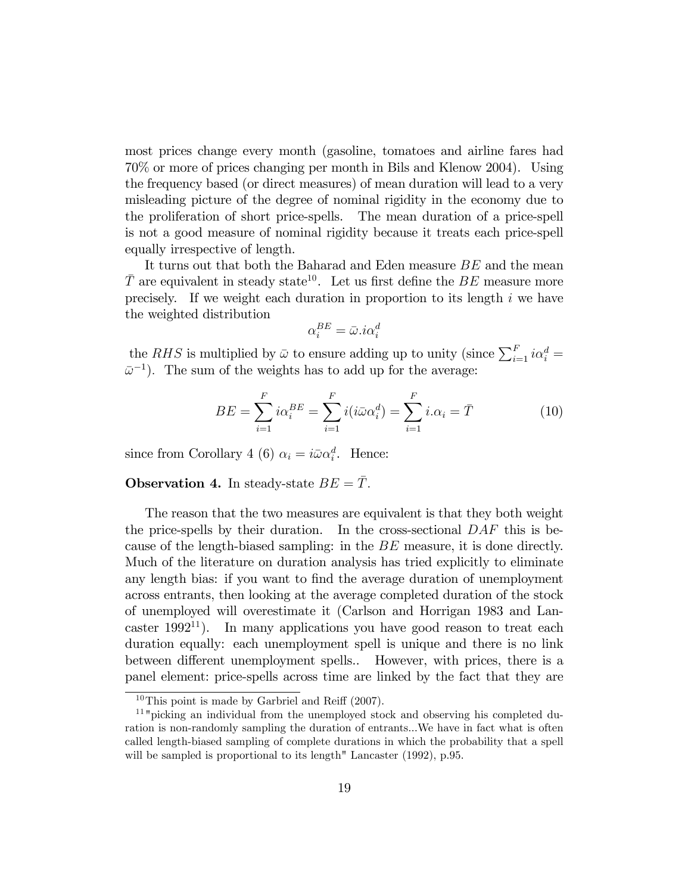most prices change every month (gasoline, tomatoes and airline fares had 70% or more of prices changing per month in Bils and Klenow 2004). Using the frequency based (or direct measures) of mean duration will lead to a very misleading picture of the degree of nominal rigidity in the economy due to the proliferation of short price-spells. The mean duration of a price-spell is not a good measure of nominal rigidity because it treats each price-spell equally irrespective of length.

It turns out that both the Baharad and Eden measure BE and the mean  $\overline{T}$  are equivalent in steady state<sup>10</sup>. Let us first define the BE measure more precisely. If we weight each duration in proportion to its length  $i$  we have the weighted distribution

$$
\alpha_i^{BE} = \bar{\omega} . i \alpha_i^d
$$

the RHS is multiplied by  $\bar{\omega}$  to ensure adding up to unity (since  $\sum_{i=1}^{F} i \alpha_i^d =$  $\bar{\omega}^{-1}$ ). The sum of the weights has to add up for the average:

$$
BE = \sum_{i=1}^{F} i\alpha_i^{BE} = \sum_{i=1}^{F} i(i\bar{\omega}\alpha_i^d) = \sum_{i=1}^{F} i\alpha_i = \bar{T}
$$
 (10)

since from Corollary 4 (6)  $\alpha_i = i \bar{\omega} \alpha_i^d$ . Hence:

### **Observation 4.** In steady-state  $BE = \overline{T}$ .

The reason that the two measures are equivalent is that they both weight the price-spells by their duration. In the cross-sectional  $DAF$  this is because of the length-biased sampling: in the BE measure, it is done directly. Much of the literature on duration analysis has tried explicitly to eliminate any length bias: if you want to find the average duration of unemployment across entrants, then looking at the average completed duration of the stock of unemployed will overestimate it (Carlson and Horrigan 1983 and Lancaster 1992<sup>11</sup>). In many applications you have good reason to treat each duration equally: each unemployment spell is unique and there is no link between different unemployment spells.. However, with prices, there is a panel element: price-spells across time are linked by the fact that they are

 $10$ This point is made by Garbriel and Reiff (2007).

<sup>&</sup>lt;sup>11</sup> "picking an individual from the unemployed stock and observing his completed duration is non-randomly sampling the duration of entrants...We have in fact what is often called length-biased sampling of complete durations in which the probability that a spell will be sampled is proportional to its length" Lancaster  $(1992)$ , p.95.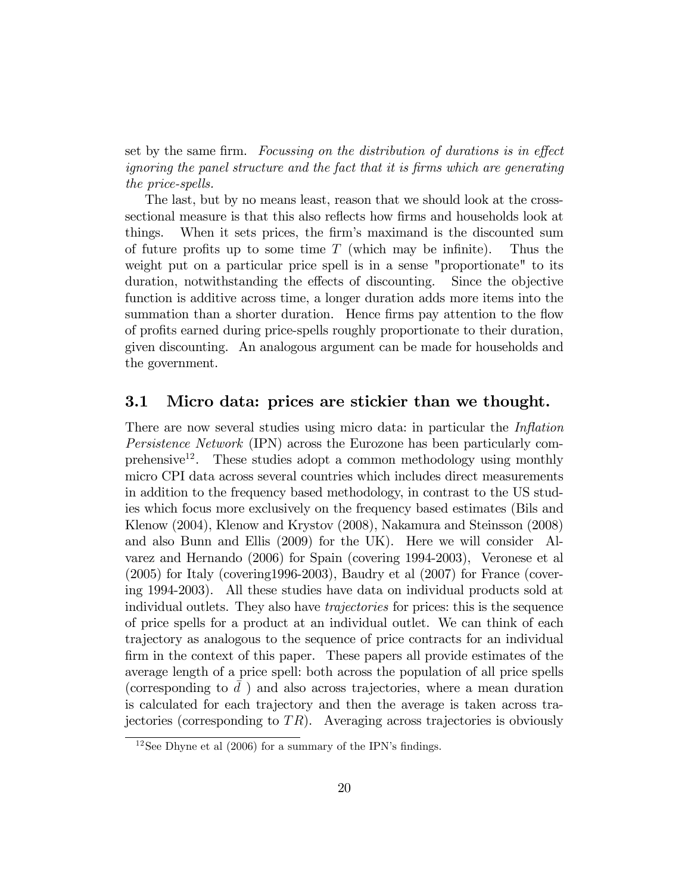set by the same firm. Focussing on the distribution of durations is in effect ignoring the panel structure and the fact that it is Örms which are generating the price-spells.

The last, but by no means least, reason that we should look at the crosssectional measure is that this also reflects how firms and households look at things. When it sets prices, the firm's maximand is the discounted sum of future profits up to some time  $T$  (which may be infinite). Thus the weight put on a particular price spell is in a sense "proportionate" to its duration, notwithstanding the effects of discounting. Since the objective function is additive across time, a longer duration adds more items into the summation than a shorter duration. Hence firms pay attention to the flow of proÖts earned during price-spells roughly proportionate to their duration, given discounting. An analogous argument can be made for households and the government.

### 3.1 Micro data: prices are stickier than we thought.

There are now several studies using micro data: in particular the *Inflation* Persistence Network (IPN) across the Eurozone has been particularly comprehensive<sup>12</sup>. These studies adopt a common methodology using monthly micro CPI data across several countries which includes direct measurements in addition to the frequency based methodology, in contrast to the US studies which focus more exclusively on the frequency based estimates (Bils and Klenow (2004), Klenow and Krystov (2008), Nakamura and Steinsson (2008) and also Bunn and Ellis (2009) for the UK). Here we will consider Alvarez and Hernando (2006) for Spain (covering 1994-2003), Veronese et al (2005) for Italy (covering1996-2003), Baudry et al (2007) for France (covering 1994-2003). All these studies have data on individual products sold at individual outlets. They also have *trajectories* for prices: this is the sequence of price spells for a product at an individual outlet. We can think of each trajectory as analogous to the sequence of price contracts for an individual firm in the context of this paper. These papers all provide estimates of the average length of a price spell: both across the population of all price spells (corresponding to  $\bar{d}$ ) and also across trajectories, where a mean duration is calculated for each trajectory and then the average is taken across trajectories (corresponding to  $TR$ ). Averaging across trajectories is obviously

 $12$ See Dhyne et al (2006) for a summary of the IPN's findings.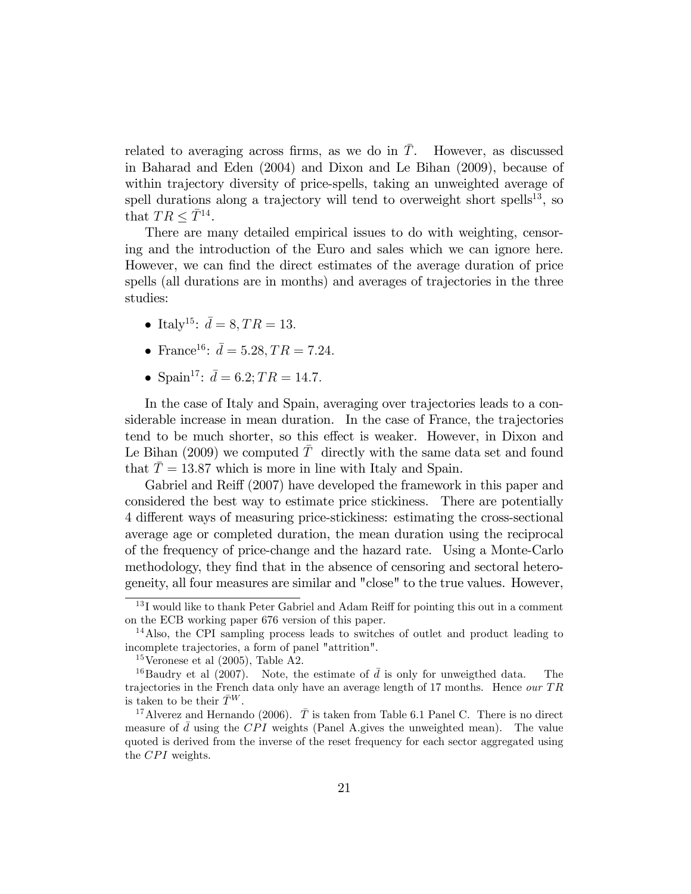related to averaging across firms, as we do in  $T$ . However, as discussed in Baharad and Eden (2004) and Dixon and Le Bihan (2009), because of within trajectory diversity of price-spells, taking an unweighted average of spell durations along a trajectory will tend to overweight short spells<sup>13</sup>, so that  $TR \leq \overline{T}^{14}$ .

There are many detailed empirical issues to do with weighting, censoring and the introduction of the Euro and sales which we can ignore here. However, we can find the direct estimates of the average duration of price spells (all durations are in months) and averages of trajectories in the three studies:

- Italy<sup>15</sup>:  $\bar{d} = 8, TR = 13.$
- France<sup>16</sup>:  $\bar{d} = 5.28, TR = 7.24.$
- Spain<sup>17</sup>:  $\bar{d} = 6.2$ ;  $TR = 14.7$ .

In the case of Italy and Spain, averaging over trajectories leads to a considerable increase in mean duration. In the case of France, the trajectories tend to be much shorter, so this effect is weaker. However, in Dixon and Le Bihan  $(2009)$  we computed T directly with the same data set and found that  $\overline{T} = 13.87$  which is more in line with Italy and Spain.

Gabriel and Reiff (2007) have developed the framework in this paper and considered the best way to estimate price stickiness. There are potentially 4 different ways of measuring price-stickiness: estimating the cross-sectional average age or completed duration, the mean duration using the reciprocal of the frequency of price-change and the hazard rate. Using a Monte-Carlo methodology, they find that in the absence of censoring and sectoral heterogeneity, all four measures are similar and "close" to the true values. However,

 $13$  I would like to thank Peter Gabriel and Adam Reiff for pointing this out in a comment on the ECB working paper 676 version of this paper.

<sup>14</sup>Also, the CPI sampling process leads to switches of outlet and product leading to incomplete trajectories, a form of panel "attrition".

<sup>&</sup>lt;sup>15</sup>Veronese et al  $(2005)$ , Table A2.

<sup>&</sup>lt;sup>16</sup>Baudry et al (2007). Note, the estimate of  $\bar{d}$  is only for unweigthed data. The trajectories in the French data only have an average length of 17 months. Hence our  $TR$ is taken to be their  $\bar{T}^{W}$ .

<sup>&</sup>lt;sup>17</sup>Alverez and Hernando (2006).  $\overline{T}$  is taken from Table 6.1 Panel C. There is no direct measure of  $\bar{d}$  using the CPI weights (Panel A.gives the unweighted mean). The value quoted is derived from the inverse of the reset frequency for each sector aggregated using the  $CPI$  weights.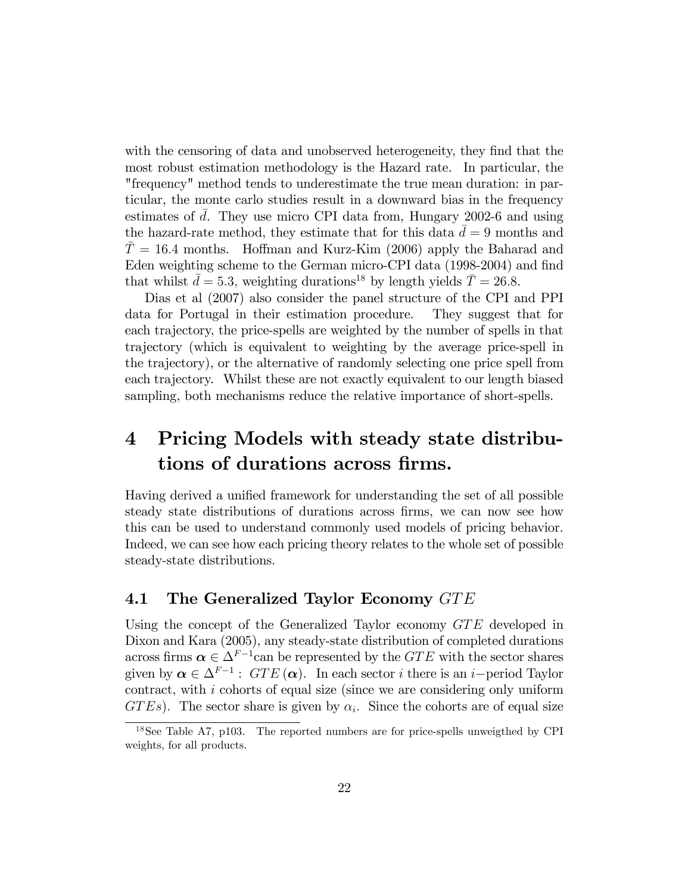with the censoring of data and unobserved heterogeneity, they find that the most robust estimation methodology is the Hazard rate. In particular, the "frequency" method tends to underestimate the true mean duration: in particular, the monte carlo studies result in a downward bias in the frequency estimates of d. They use micro CPI data from, Hungary 2002-6 and using the hazard-rate method, they estimate that for this data  $d = 9$  months and  $T = 16.4$  months. Hoffman and Kurz-Kim (2006) apply the Baharad and Eden weighting scheme to the German micro-CPI data (1998-2004) and find that whilst  $\bar{d} = 5.3$ , weighting durations<sup>18</sup> by length yields  $\bar{T} = 26.8$ .

Dias et al (2007) also consider the panel structure of the CPI and PPI data for Portugal in their estimation procedure. They suggest that for each trajectory, the price-spells are weighted by the number of spells in that trajectory (which is equivalent to weighting by the average price-spell in the trajectory), or the alternative of randomly selecting one price spell from each trajectory. Whilst these are not exactly equivalent to our length biased sampling, both mechanisms reduce the relative importance of short-spells.

# 4 Pricing Models with steady state distributions of durations across firms.

Having derived a unified framework for understanding the set of all possible steady state distributions of durations across Örms, we can now see how this can be used to understand commonly used models of pricing behavior. Indeed, we can see how each pricing theory relates to the whole set of possible steady-state distributions.

### 4.1 The Generalized Taylor Economy  $GTE$

Using the concept of the Generalized Taylor economy  $GTE$  developed in Dixon and Kara (2005), any steady-state distribution of completed durations across firms  $\alpha \in \Delta^{F-1}$ can be represented by the GTE with the sector shares given by  $\alpha \in \Delta^{F-1}$ :  $GTE(\alpha)$ . In each sector *i* there is an *i*-period Taylor contract, with i cohorts of equal size (since we are considering only uniform  $GTEs$ ). The sector share is given by  $\alpha_i$ . Since the cohorts are of equal size

<sup>&</sup>lt;sup>18</sup>See Table A7, p103. The reported numbers are for price-spells unweigthed by CPI weights, for all products.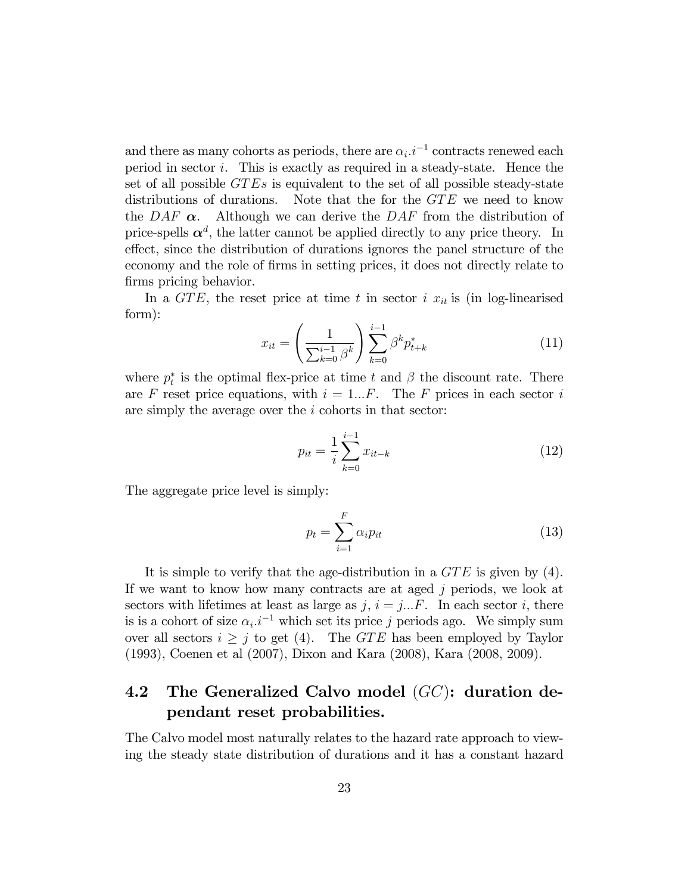and there as many cohorts as periods, there are  $\alpha_i.i^{-1}$  contracts renewed each period in sector  $i$ . This is exactly as required in a steady-state. Hence the set of all possible  $GTEs$  is equivalent to the set of all possible steady-state distributions of durations. Note that the for the  $GTE$  we need to know the DAF  $\alpha$ . Although we can derive the DAF from the distribution of price-spells  $\alpha^d$ , the latter cannot be applied directly to any price theory. In effect, since the distribution of durations ignores the panel structure of the economy and the role of Örms in setting prices, it does not directly relate to firms pricing behavior.

In a GTE, the reset price at time t in sector i  $x_{it}$  is (in log-linearised form):

$$
x_{it} = \left(\frac{1}{\sum_{k=0}^{i-1} \beta^k}\right) \sum_{k=0}^{i-1} \beta^k p_{t+k}^* \tag{11}
$$

where  $p_t^*$  is the optimal flex-price at time t and  $\beta$  the discount rate. There are F reset price equations, with  $i = 1...F$ . The F prices in each sector i are simply the average over the i cohorts in that sector:

$$
p_{it} = \frac{1}{i} \sum_{k=0}^{i-1} x_{it-k}
$$
 (12)

The aggregate price level is simply:

$$
p_t = \sum_{i=1}^{F} \alpha_i p_{it} \tag{13}
$$

It is simple to verify that the age-distribution in a  $GTE$  is given by (4). If we want to know how many contracts are at aged j periods, we look at sectors with lifetimes at least as large as  $j, i = j...F$ . In each sector i, there is is a cohort of size  $\alpha_i \cdot i^{-1}$  which set its price j periods ago. We simply sum over all sectors  $i \geq j$  to get (4). The GTE has been employed by Taylor (1993), Coenen et al (2007), Dixon and Kara (2008), Kara (2008, 2009).

# 4.2 The Generalized Calvo model  $(GC)$ : duration dependant reset probabilities.

The Calvo model most naturally relates to the hazard rate approach to viewing the steady state distribution of durations and it has a constant hazard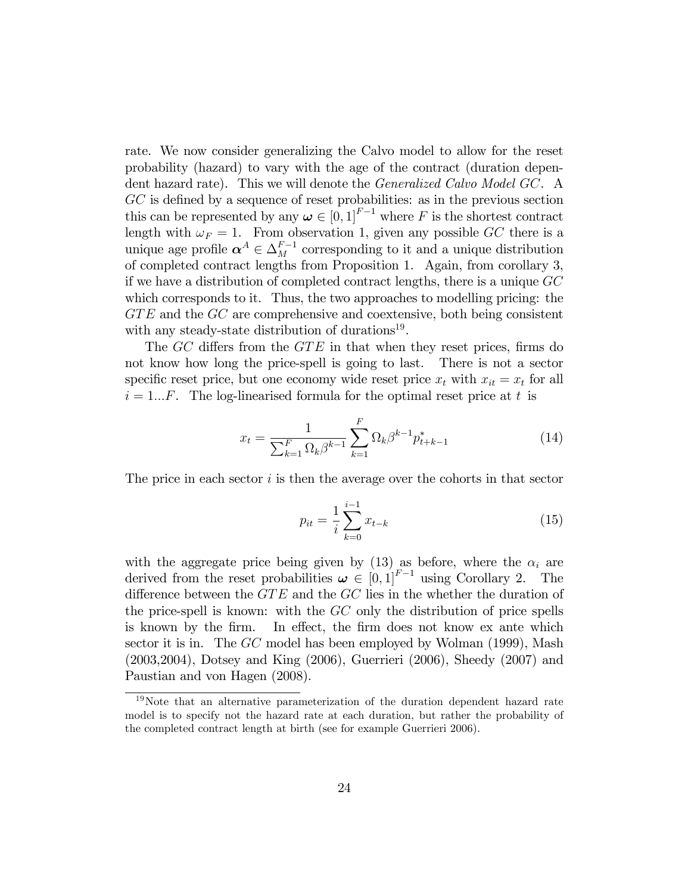rate. We now consider generalizing the Calvo model to allow for the reset probability (hazard) to vary with the age of the contract (duration dependent hazard rate). This we will denote the Generalized Calvo Model GC. A  $GC$  is defined by a sequence of reset probabilities: as in the previous section this can be represented by any  $\boldsymbol{\omega} \in [0, 1]^{F-1}$  where F is the shortest contract length with  $\omega_F = 1$ . From observation 1, given any possible GC there is a unique age profile  $\boldsymbol{\alpha}^A \in \Delta_M^{F-1}$  corresponding to it and a unique distribution of completed contract lengths from Proposition 1. Again, from corollary 3, if we have a distribution of completed contract lengths, there is a unique GC which corresponds to it. Thus, the two approaches to modelling pricing: the  $GTE$  and the  $GC$  are comprehensive and coextensive, both being consistent with any steady-state distribution of durations<sup>19</sup>.

The  $GC$  differs from the  $GTE$  in that when they reset prices, firms do not know how long the price-spell is going to last. There is not a sector specific reset price, but one economy wide reset price  $x_t$  with  $x_{it} = x_t$  for all  $i = 1...F$ . The log-linearised formula for the optimal reset price at t is

$$
x_t = \frac{1}{\sum_{k=1}^F \Omega_k \beta^{k-1}} \sum_{k=1}^F \Omega_k \beta^{k-1} p_{t+k-1}^*
$$
 (14)

The price in each sector  $i$  is then the average over the cohorts in that sector

$$
p_{it} = \frac{1}{i} \sum_{k=0}^{i-1} x_{t-k}
$$
 (15)

with the aggregate price being given by (13) as before, where the  $\alpha_i$  are derived from the reset probabilities  $\boldsymbol{\omega} \in [0,1]^{F-1}$  using Corollary 2. The difference between the  $GTE$  and the  $GC$  lies in the whether the duration of the price-spell is known: with the GC only the distribution of price spells is known by the firm. In effect, the firm does not know ex ante which sector it is in. The GC model has been employed by Wolman (1999), Mash (2003,2004), Dotsey and King (2006), Guerrieri (2006), Sheedy (2007) and Paustian and von Hagen (2008).

<sup>19</sup>Note that an alternative parameterization of the duration dependent hazard rate model is to specify not the hazard rate at each duration, but rather the probability of the completed contract length at birth (see for example Guerrieri 2006).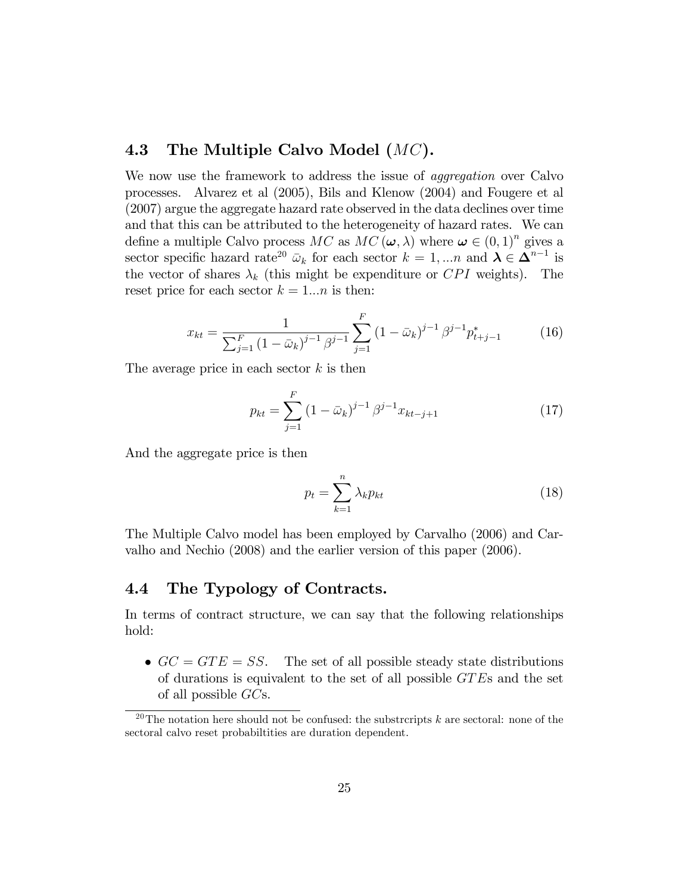### 4.3 The Multiple Calvo Model  $(MC)$ .

We now use the framework to address the issue of *aggregation* over Calvo processes. Alvarez et al (2005), Bils and Klenow (2004) and Fougere et al (2007) argue the aggregate hazard rate observed in the data declines over time and that this can be attributed to the heterogeneity of hazard rates. We can define a multiple Calvo process MC as  $MC(\omega, \lambda)$  where  $\omega \in (0, 1)^n$  gives a sector specific hazard rate<sup>20</sup>  $\bar{\omega}_k$  for each sector  $k = 1, ..., n$  and  $\lambda \in \Delta^{n-1}$  is the vector of shares  $\lambda_k$  (this might be expenditure or CPI weights). The reset price for each sector  $k = 1...n$  is then:

$$
x_{kt} = \frac{1}{\sum_{j=1}^{F} (1 - \bar{\omega}_k)^{j-1} \beta^{j-1}} \sum_{j=1}^{F} (1 - \bar{\omega}_k)^{j-1} \beta^{j-1} p_{t+j-1}^* \tag{16}
$$

The average price in each sector  $k$  is then

$$
p_{kt} = \sum_{j=1}^{F} (1 - \bar{\omega}_k)^{j-1} \beta^{j-1} x_{kt-j+1}
$$
 (17)

And the aggregate price is then

$$
p_t = \sum_{k=1}^n \lambda_k p_{kt} \tag{18}
$$

The Multiple Calvo model has been employed by Carvalho (2006) and Carvalho and Nechio (2008) and the earlier version of this paper (2006).

### 4.4 The Typology of Contracts.

In terms of contract structure, we can say that the following relationships hold:

 $GC = GTE = SS$ . The set of all possible steady state distributions of durations is equivalent to the set of all possible GT Es and the set of all possible GCs.

<sup>&</sup>lt;sup>20</sup>The notation here should not be confused: the substrcripts  $k$  are sectoral: none of the sectoral calvo reset probabiltities are duration dependent.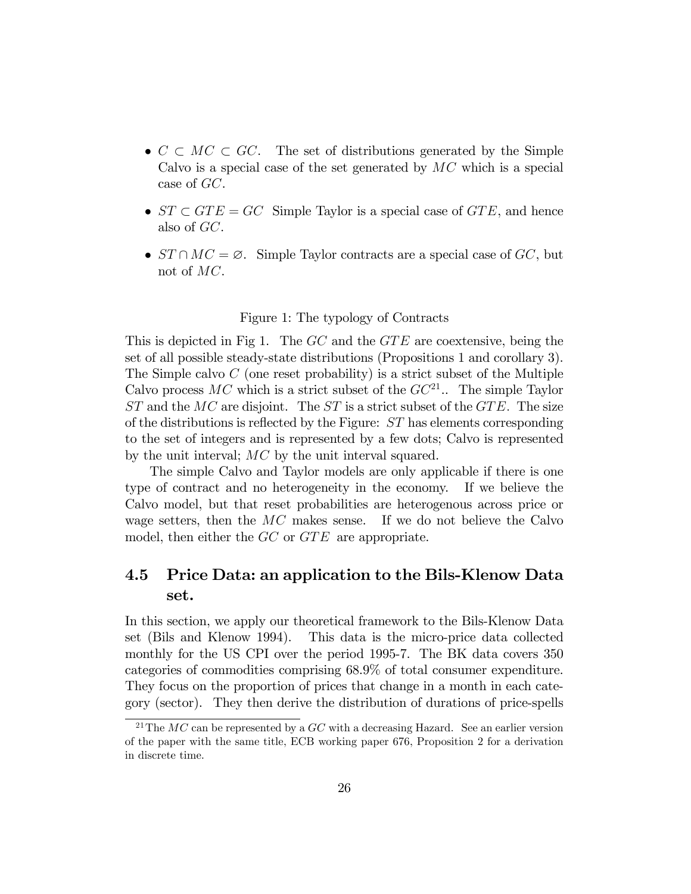- $\bullet \, C \subset MC \subset GC$ . The set of distributions generated by the Simple Calvo is a special case of the set generated by  $MC$  which is a special case of GC.
- $ST \subset GTE = GC$  Simple Taylor is a special case of  $GTE$ , and hence also of GC.
- $ST \cap MC = \emptyset$ . Simple Taylor contracts are a special case of GC, but not of MC.

#### Figure 1: The typology of Contracts

This is depicted in Fig 1. The  $GC$  and the  $GTE$  are coextensive, being the set of all possible steady-state distributions (Propositions 1 and corollary 3). The Simple calvo  $C$  (one reset probability) is a strict subset of the Multiple Calvo process  $MC$  which is a strict subset of the  $GC^{21}$ .. The simple Taylor  $ST$  and the  $MC$  are disjoint. The  $ST$  is a strict subset of the  $GTE$ . The size of the distributions is reflected by the Figure:  $ST$  has elements corresponding to the set of integers and is represented by a few dots; Calvo is represented by the unit interval; MC by the unit interval squared.

The simple Calvo and Taylor models are only applicable if there is one type of contract and no heterogeneity in the economy. If we believe the Calvo model, but that reset probabilities are heterogenous across price or wage setters, then the  $MC$  makes sense. If we do not believe the Calvo model, then either the  $GC$  or  $GTE$  are appropriate.

## 4.5 Price Data: an application to the Bils-Klenow Data set.

In this section, we apply our theoretical framework to the Bils-Klenow Data set (Bils and Klenow 1994). This data is the micro-price data collected monthly for the US CPI over the period 1995-7. The BK data covers 350 categories of commodities comprising 68.9% of total consumer expenditure. They focus on the proportion of prices that change in a month in each category (sector). They then derive the distribution of durations of price-spells

<sup>&</sup>lt;sup>21</sup>The MC can be represented by a  $GC$  with a decreasing Hazard. See an earlier version of the paper with the same title, ECB working paper 676, Proposition 2 for a derivation in discrete time.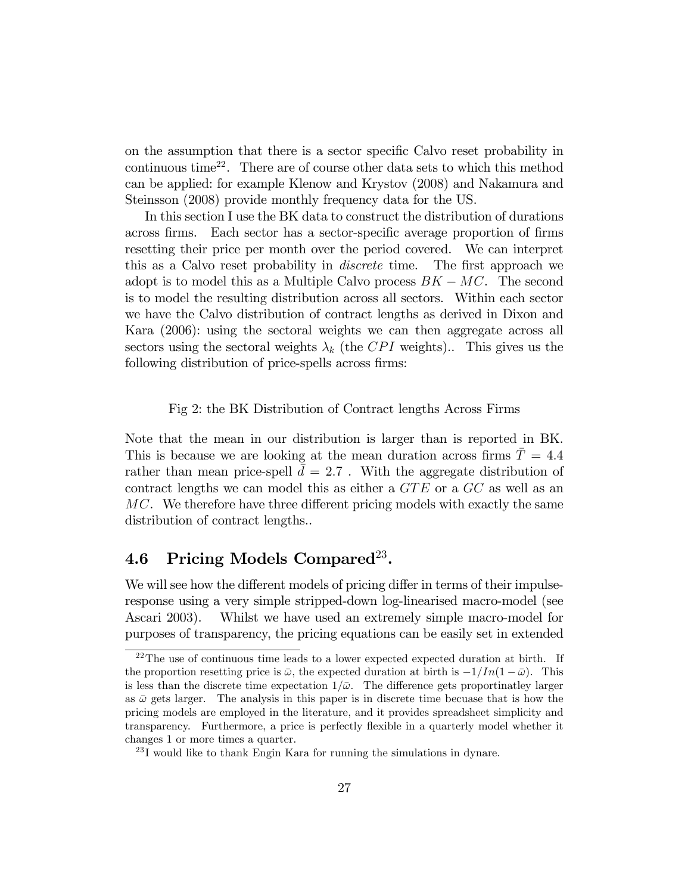on the assumption that there is a sector specific Calvo reset probability in continuous time<sup>22</sup>. There are of course other data sets to which this method can be applied: for example Klenow and Krystov (2008) and Nakamura and Steinsson (2008) provide monthly frequency data for the US.

In this section I use the BK data to construct the distribution of durations across firms. Each sector has a sector-specific average proportion of firms resetting their price per month over the period covered. We can interpret this as a Calvo reset probability in *discrete* time. The first approach we adopt is to model this as a Multiple Calvo process  $BK - MC$ . The second is to model the resulting distribution across all sectors. Within each sector we have the Calvo distribution of contract lengths as derived in Dixon and Kara (2006): using the sectoral weights we can then aggregate across all sectors using the sectoral weights  $\lambda_k$  (the CPI weights).. This gives us the following distribution of price-spells across firms:

Fig 2: the BK Distribution of Contract lengths Across Firms

Note that the mean in our distribution is larger than is reported in BK. This is because we are looking at the mean duration across firms  $\overline{T} = 4.4$ rather than mean price-spell  $\bar{d} = 2.7$ . With the aggregate distribution of contract lengths we can model this as either a  $GTE$  or a  $GC$  as well as an  $MC$ . We therefore have three different pricing models with exactly the same distribution of contract lengths..

# $4.6$  Pricing Models Compared<sup>23</sup>.

We will see how the different models of pricing differ in terms of their impulseresponse using a very simple stripped-down log-linearised macro-model (see Ascari 2003). Whilst we have used an extremely simple macro-model for purposes of transparency, the pricing equations can be easily set in extended

<sup>&</sup>lt;sup>22</sup>The use of continuous time leads to a lower expected expected duration at birth. If the proportion resetting price is  $\bar{\omega}$ , the expected duration at birth is  $-1/In(1 - \bar{\omega})$ . This is less than the discrete time expectation  $1/\bar{\omega}$ . The difference gets proportinatley larger as  $\bar{\omega}$  gets larger. The analysis in this paper is in discrete time becuase that is how the pricing models are employed in the literature, and it provides spreadsheet simplicity and transparency. Furthermore, a price is perfectly flexible in a quarterly model whether it changes 1 or more times a quarter.

 $^{23}$ I would like to thank Engin Kara for running the simulations in dynare.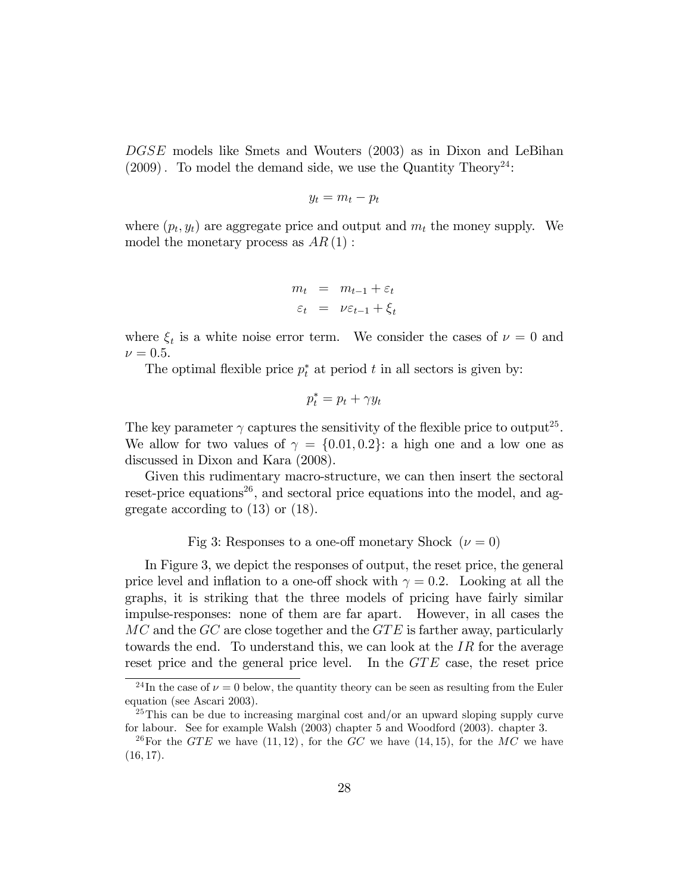DGSE models like Smets and Wouters (2003) as in Dixon and LeBihan  $(2009)$ . To model the demand side, we use the Quantity Theory<sup>24</sup>:

$$
y_t = m_t - p_t
$$

where  $(p_t, y_t)$  are aggregate price and output and  $m_t$  the money supply. We model the monetary process as  $AR(1)$ :

$$
m_t = m_{t-1} + \varepsilon_t
$$
  

$$
\varepsilon_t = \nu \varepsilon_{t-1} + \xi_t
$$

where  $\xi_t$  is a white noise error term. We consider the cases of  $\nu = 0$  and  $\nu = 0.5$ .

The optimal flexible price  $p_t^*$  at period t in all sectors is given by:

$$
p_t^* = p_t + \gamma y_t
$$

The key parameter  $\gamma$  captures the sensitivity of the flexible price to output<sup>25</sup>. We allow for two values of  $\gamma = \{0.01, 0.2\}$ : a high one and a low one as discussed in Dixon and Kara (2008).

Given this rudimentary macro-structure, we can then insert the sectoral reset-price equations<sup>26</sup>, and sectoral price equations into the model, and aggregate according to (13) or (18).

Fig 3: Responses to a one-off monetary Shock  $(\nu = 0)$ 

In Figure 3, we depict the responses of output, the reset price, the general price level and inflation to a one-off shock with  $\gamma = 0.2$ . Looking at all the graphs, it is striking that the three models of pricing have fairly similar impulse-responses: none of them are far apart. However, in all cases the  $MC$  and the  $GC$  are close together and the  $GTE$  is farther away, particularly towards the end. To understand this, we can look at the  $IR$  for the average reset price and the general price level. In the GTE case, the reset price

<sup>&</sup>lt;sup>24</sup>In the case of  $\nu = 0$  below, the quantity theory can be seen as resulting from the Euler equation (see Ascari 2003).

 $^{25}$ This can be due to increasing marginal cost and/or an upward sloping supply curve for labour. See for example Walsh (2003) chapter 5 and Woodford (2003). chapter 3.

<sup>&</sup>lt;sup>26</sup>For the GTE we have  $(11, 12)$ , for the GC we have  $(14, 15)$ , for the MC we have  $(16, 17)$ .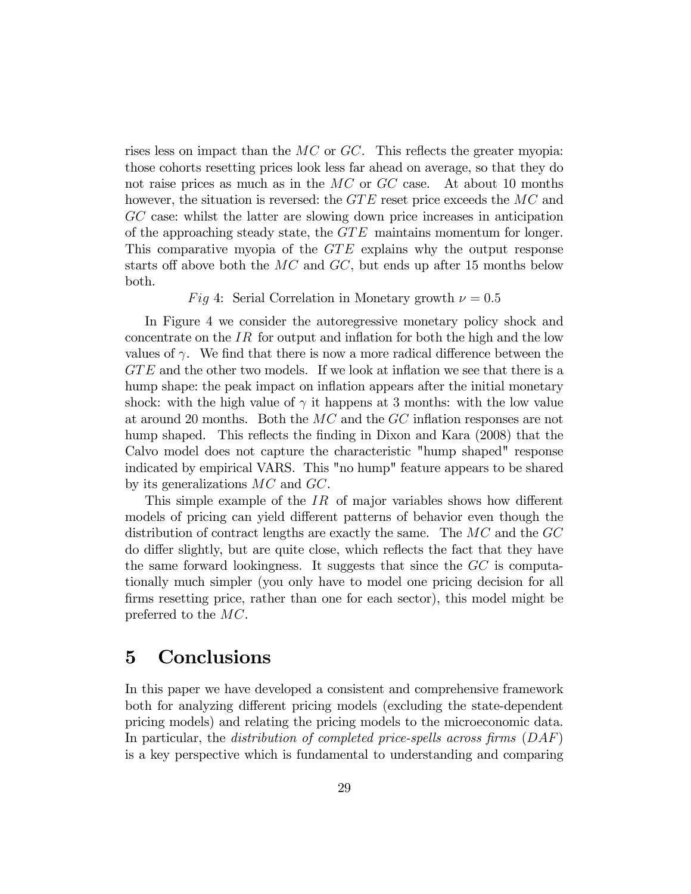rises less on impact than the  $MC$  or  $GC$ . This reflects the greater myopia: those cohorts resetting prices look less far ahead on average, so that they do not raise prices as much as in the MC or GC case. At about 10 months however, the situation is reversed: the  $GTE$  reset price exceeds the  $MC$  and GC case: whilst the latter are slowing down price increases in anticipation of the approaching steady state, the  $GTE$  maintains momentum for longer. This comparative myopia of the  $GTE$  explains why the output response starts off above both the  $MC$  and  $GC$ , but ends up after 15 months below both.

#### Fig 4: Serial Correlation in Monetary growth  $\nu = 0.5$

In Figure 4 we consider the autoregressive monetary policy shock and concentrate on the  $IR$  for output and inflation for both the high and the low values of  $\gamma$ . We find that there is now a more radical difference between the  $GTE$  and the other two models. If we look at inflation we see that there is a hump shape: the peak impact on inflation appears after the initial monetary shock: with the high value of  $\gamma$  it happens at 3 months: with the low value at around 20 months. Both the  $MC$  and the  $GC$  inflation responses are not hump shaped. This reflects the finding in Dixon and Kara (2008) that the Calvo model does not capture the characteristic "hump shaped" response indicated by empirical VARS. This "no hump" feature appears to be shared by its generalizations MC and GC.

This simple example of the  $IR$  of major variables shows how different models of pricing can yield different patterns of behavior even though the distribution of contract lengths are exactly the same. The  $MC$  and the  $GC$ do differ slightly, but are quite close, which reflects the fact that they have the same forward lookingness. It suggests that since the GC is computationally much simpler (you only have to model one pricing decision for all firms resetting price, rather than one for each sector), this model might be preferred to the MC.

# 5 Conclusions

In this paper we have developed a consistent and comprehensive framework both for analyzing different pricing models (excluding the state-dependent pricing models) and relating the pricing models to the microeconomic data. In particular, the distribution of completed price-spells across firms  $(DAF)$ is a key perspective which is fundamental to understanding and comparing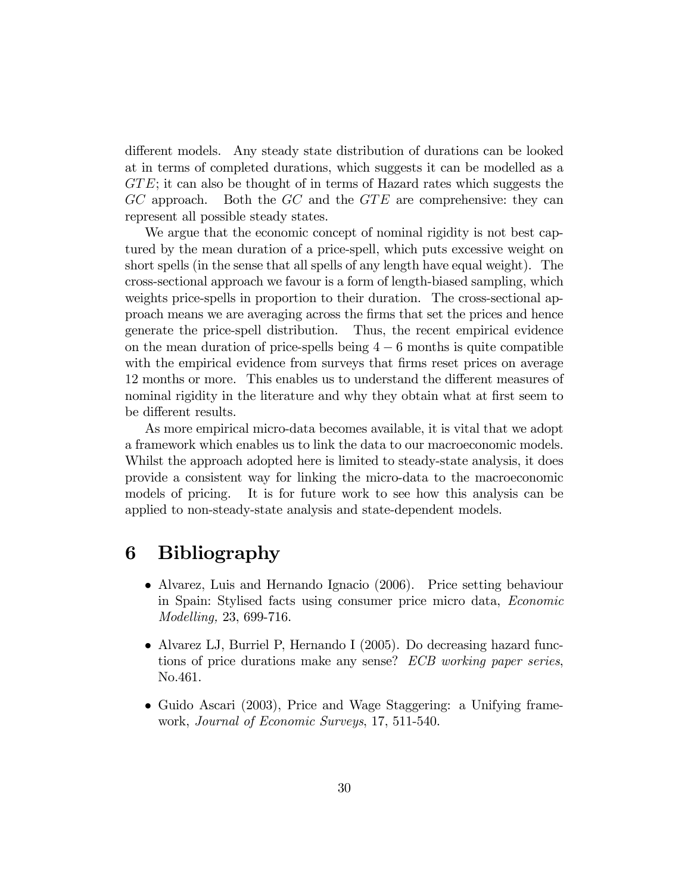different models. Any steady state distribution of durations can be looked at in terms of completed durations, which suggests it can be modelled as a  $GTE$ ; it can also be thought of in terms of Hazard rates which suggests the  $GC$  approach. Both the  $GC$  and the  $GTE$  are comprehensive: they can represent all possible steady states.

We argue that the economic concept of nominal rigidity is not best captured by the mean duration of a price-spell, which puts excessive weight on short spells (in the sense that all spells of any length have equal weight). The cross-sectional approach we favour is a form of length-biased sampling, which weights price-spells in proportion to their duration. The cross-sectional approach means we are averaging across the Örms that set the prices and hence generate the price-spell distribution. Thus, the recent empirical evidence on the mean duration of price-spells being  $4 - 6$  months is quite compatible with the empirical evidence from surveys that firms reset prices on average 12 months or more. This enables us to understand the different measures of nominal rigidity in the literature and why they obtain what at first seem to be different results.

As more empirical micro-data becomes available, it is vital that we adopt a framework which enables us to link the data to our macroeconomic models. Whilst the approach adopted here is limited to steady-state analysis, it does provide a consistent way for linking the micro-data to the macroeconomic models of pricing. It is for future work to see how this analysis can be applied to non-steady-state analysis and state-dependent models.

# 6 Bibliography

- Alvarez, Luis and Hernando Ignacio (2006). Price setting behaviour in Spain: Stylised facts using consumer price micro data, Economic Modelling, 23, 699-716.
- Alvarez LJ, Burriel P, Hernando I (2005). Do decreasing hazard functions of price durations make any sense? ECB working paper series, No.461.
- Guido Ascari (2003), Price and Wage Staggering: a Unifying framework, Journal of Economic Surveys, 17, 511-540.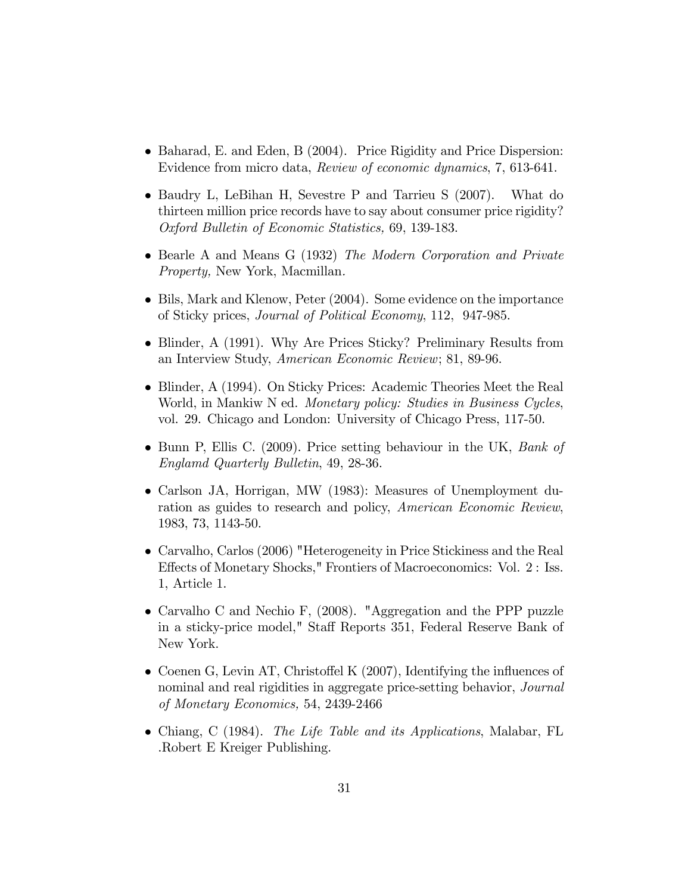- Baharad, E. and Eden, B (2004). Price Rigidity and Price Dispersion: Evidence from micro data, Review of economic dynamics, 7, 613-641.
- Baudry L, LeBihan H, Sevestre P and Tarrieu S (2007). What do thirteen million price records have to say about consumer price rigidity? Oxford Bulletin of Economic Statistics, 69, 139-183.
- Bearle A and Means G (1932) The Modern Corporation and Private Property, New York, Macmillan.
- Bils, Mark and Klenow, Peter (2004). Some evidence on the importance of Sticky prices, Journal of Political Economy, 112, 947-985.
- Blinder, A (1991). Why Are Prices Sticky? Preliminary Results from an Interview Study, American Economic Review; 81, 89-96.
- Blinder, A (1994). On Sticky Prices: Academic Theories Meet the Real World, in Mankiw N ed. Monetary policy: Studies in Business Cycles, vol. 29. Chicago and London: University of Chicago Press, 117-50.
- Bunn P, Ellis C. (2009). Price setting behaviour in the UK, Bank of Englamd Quarterly Bulletin, 49, 28-36.
- Carlson JA, Horrigan, MW (1983): Measures of Unemployment duration as guides to research and policy, American Economic Review, 1983, 73, 1143-50.
- Carvalho, Carlos (2006) "Heterogeneity in Price Stickiness and the Real Effects of Monetary Shocks," Frontiers of Macroeconomics: Vol. 2 : Iss. 1, Article 1.
- Carvalho C and Nechio F, (2008). "Aggregation and the PPP puzzle in a sticky-price model," Staff Reports 351, Federal Reserve Bank of New York.
- Coenen G, Levin AT, Christoffel K  $(2007)$ , Identifying the influences of nominal and real rigidities in aggregate price-setting behavior, *Journal* of Monetary Economics, 54, 2439-2466
- Chiang, C (1984). The Life Table and its Applications, Malabar, FL .Robert E Kreiger Publishing.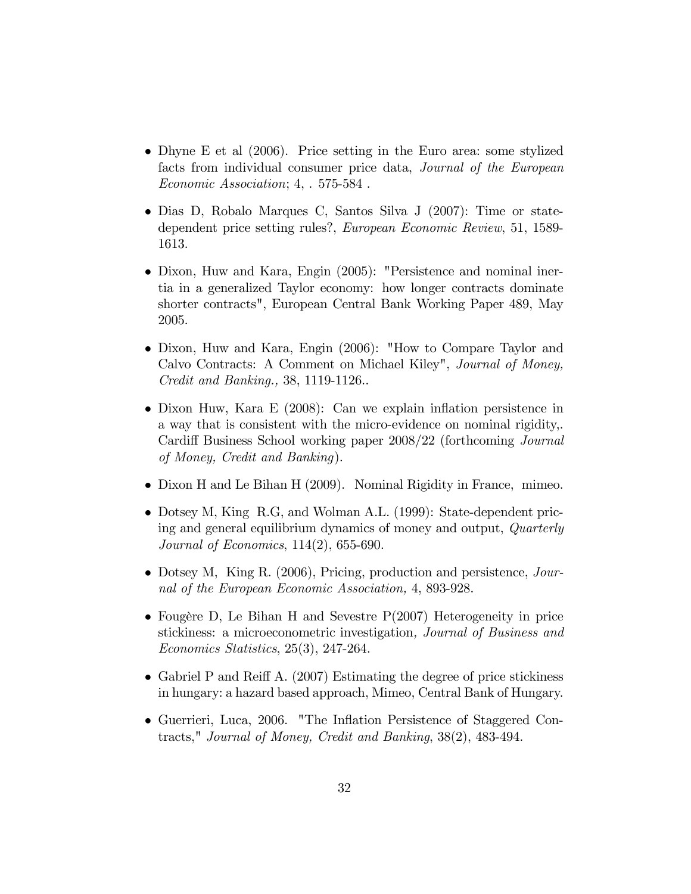- Dhyne E et al (2006). Price setting in the Euro area: some stylized facts from individual consumer price data, Journal of the European Economic Association; 4, . 575-584 .
- Dias D, Robalo Marques C, Santos Silva J (2007): Time or statedependent price setting rules?, European Economic Review, 51, 1589- 1613.
- Dixon, Huw and Kara, Engin (2005): "Persistence and nominal inertia in a generalized Taylor economy: how longer contracts dominate shorter contracts", European Central Bank Working Paper 489, May 2005.
- Dixon, Huw and Kara, Engin (2006): "How to Compare Taylor and Calvo Contracts: A Comment on Michael Kiley", Journal of Money, Credit and Banking., 38, 1119-1126..
- Dixon Huw, Kara E (2008): Can we explain inflation persistence in a way that is consistent with the micro-evidence on nominal rigidity,. Cardiff Business School working paper 2008/22 (forthcoming Journal of Money, Credit and Banking).
- Dixon H and Le Bihan H (2009). Nominal Rigidity in France, mimeo.
- Dotsey M, King R.G, and Wolman A.L. (1999): State-dependent pricing and general equilibrium dynamics of money and output, Quarterly Journal of Economics, 114(2), 655-690.
- Dotsey M, King R. (2006), Pricing, production and persistence, Journal of the European Economic Association, 4, 893-928.
- Fougère D, Le Bihan H and Sevestre  $P(2007)$  Heterogeneity in price stickiness: a microeconometric investigation, Journal of Business and Economics Statistics, 25(3), 247-264.
- Gabriel P and Reiff A.  $(2007)$  Estimating the degree of price stickiness in hungary: a hazard based approach, Mimeo, Central Bank of Hungary.
- Guerrieri, Luca, 2006. "The Inflation Persistence of Staggered Contracts," Journal of Money, Credit and Banking, 38(2), 483-494.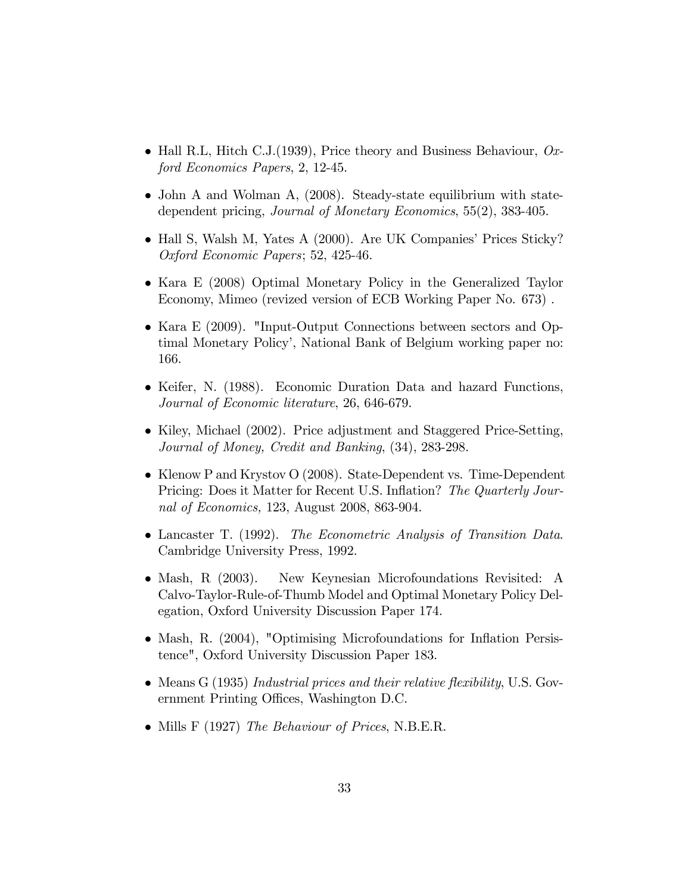- Hall R.L, Hitch C.J.(1939), Price theory and Business Behaviour,  $Ox$ ford Economics Papers, 2, 12-45.
- John A and Wolman A, (2008). Steady-state equilibrium with statedependent pricing, Journal of Monetary Economics, 55(2), 383-405.
- Hall S, Walsh M, Yates A (2000). Are UK Companies' Prices Sticky? Oxford Economic Papers; 52, 425-46.
- Kara E (2008) Optimal Monetary Policy in the Generalized Taylor Economy, Mimeo (revized version of ECB Working Paper No. 673) .
- Kara E (2009). "Input-Output Connections between sectors and Optimal Monetary Policy', National Bank of Belgium working paper no: 166.
- Keifer, N. (1988). Economic Duration Data and hazard Functions, Journal of Economic literature, 26, 646-679.
- $\bullet$  Kiley, Michael (2002). Price adjustment and Staggered Price-Setting, Journal of Money, Credit and Banking, (34), 283-298.
- Klenow P and Krystov O (2008). State-Dependent vs. Time-Dependent Pricing: Does it Matter for Recent U.S. Inflation? The Quarterly Journal of Economics, 123, August 2008, 863-904.
- Lancaster T. (1992). The Econometric Analysis of Transition Data. Cambridge University Press, 1992.
- Mash, R (2003). New Keynesian Microfoundations Revisited: A Calvo-Taylor-Rule-of-Thumb Model and Optimal Monetary Policy Delegation, Oxford University Discussion Paper 174.
- Mash, R. (2004), "Optimising Microfoundations for Inflation Persistence", Oxford University Discussion Paper 183.
- Means  $G(1935)$  Industrial prices and their relative flexibility, U.S. Government Printing Offices, Washington D.C.
- Mills F (1927) The Behaviour of Prices, N.B.E.R.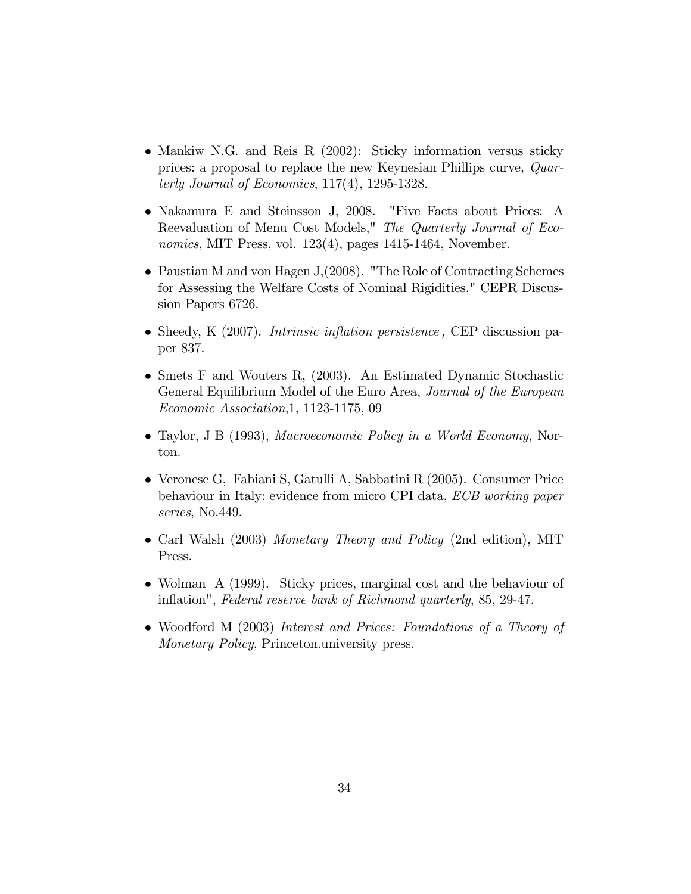- Mankiw N.G. and Reis R (2002): Sticky information versus sticky prices: a proposal to replace the new Keynesian Phillips curve, Quarterly Journal of Economics, 117(4), 1295-1328.
- Nakamura E and Steinsson J, 2008. "Five Facts about Prices: A Reevaluation of Menu Cost Models," The Quarterly Journal of Economics, MIT Press, vol.  $123(4)$ , pages  $1415-1464$ , November.
- Paustian M and von Hagen J, (2008). "The Role of Contracting Schemes for Assessing the Welfare Costs of Nominal Rigidities," CEPR Discussion Papers 6726.
- Sheedy, K  $(2007)$ . *Intrinsic inflation persistence*, CEP discussion paper 837.
- Smets F and Wouters R, (2003). An Estimated Dynamic Stochastic General Equilibrium Model of the Euro Area, Journal of the European Economic Association,1, 1123-1175, 09
- Taylor, J B (1993), Macroeconomic Policy in a World Economy, Norton.
- Veronese G, Fabiani S, Gatulli A, Sabbatini R (2005). Consumer Price behaviour in Italy: evidence from micro CPI data, ECB working paper series, No.449.
- Carl Walsh (2003) Monetary Theory and Policy (2nd edition), MIT Press.
- Wolman A (1999). Sticky prices, marginal cost and the behaviour of inflation", Federal reserve bank of Richmond quarterly, 85, 29-47.
- Woodford M (2003) Interest and Prices: Foundations of a Theory of Monetary Policy, Princeton.university press.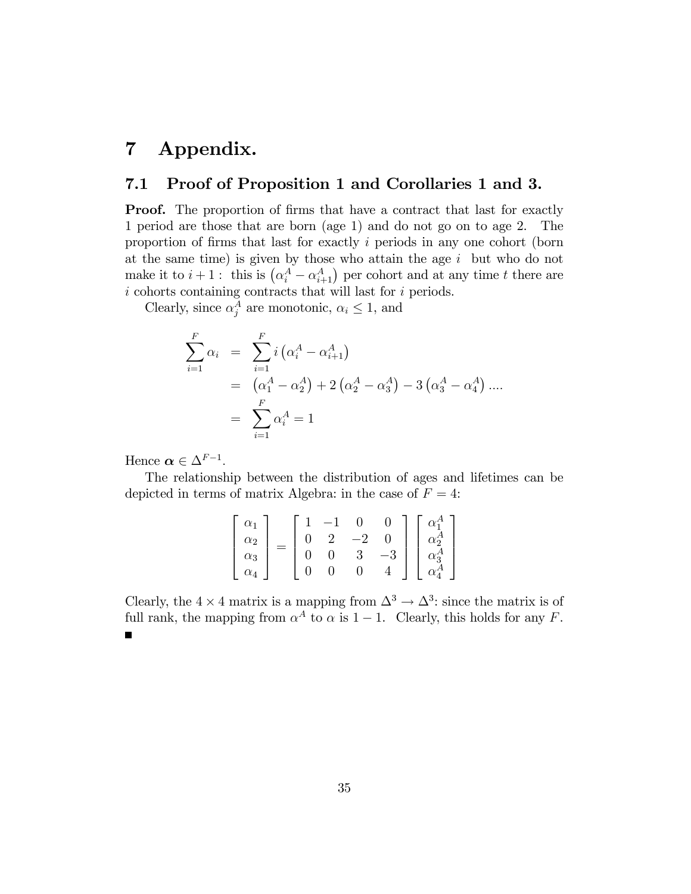# 7 Appendix.

### 7.1 Proof of Proposition 1 and Corollaries 1 and 3.

**Proof.** The proportion of firms that have a contract that last for exactly 1 period are those that are born (age 1) and do not go on to age 2. The proportion of firms that last for exactly  $i$  periods in any one cohort (born at the same time) is given by those who attain the age  $i$  but who do not make it to  $i + 1$ : this is  $(\alpha_i^A - \alpha_{i+1}^A)$  per cohort and at any time t there are  $i$  cohorts containing contracts that will last for  $i$  periods.

Clearly, since  $\alpha_j^A$  are monotonic,  $\alpha_i \leq 1$ , and

$$
\sum_{i=1}^{F} \alpha_i = \sum_{i=1}^{F} i (\alpha_i^A - \alpha_{i+1}^A)
$$
  
=  $(\alpha_1^A - \alpha_2^A) + 2 (\alpha_2^A - \alpha_3^A) - 3 (\alpha_3^A - \alpha_4^A) ...$   
=  $\sum_{i=1}^{F} \alpha_i^A = 1$ 

Hence  $\boldsymbol{\alpha} \in \Delta^{F-1}$ .

The relationship between the distribution of ages and lifetimes can be depicted in terms of matrix Algebra: in the case of  $F = 4$ :

| $\alpha_1$                                          |  | —1       |                |        |                                                       |
|-----------------------------------------------------|--|----------|----------------|--------|-------------------------------------------------------|
|                                                     |  | 2        | $-2$           |        |                                                       |
| $\begin{array}{c} \alpha_2 \\ \alpha_3 \end{array}$ |  | $\Omega$ | 3 <sup>3</sup> | $-3\,$ | $\alpha_2^{\tilde A}$<br>$\alpha_3^A$<br>$\alpha_4^A$ |
| $\alpha_4$                                          |  |          |                |        | $\alpha^A_4$                                          |

Clearly, the  $4 \times 4$  matrix is a mapping from  $\Delta^3 \rightarrow \Delta^3$ : since the matrix is of full rank, the mapping from  $\alpha^A$  to  $\alpha$  is  $1 - 1$ . Clearly, this holds for any F.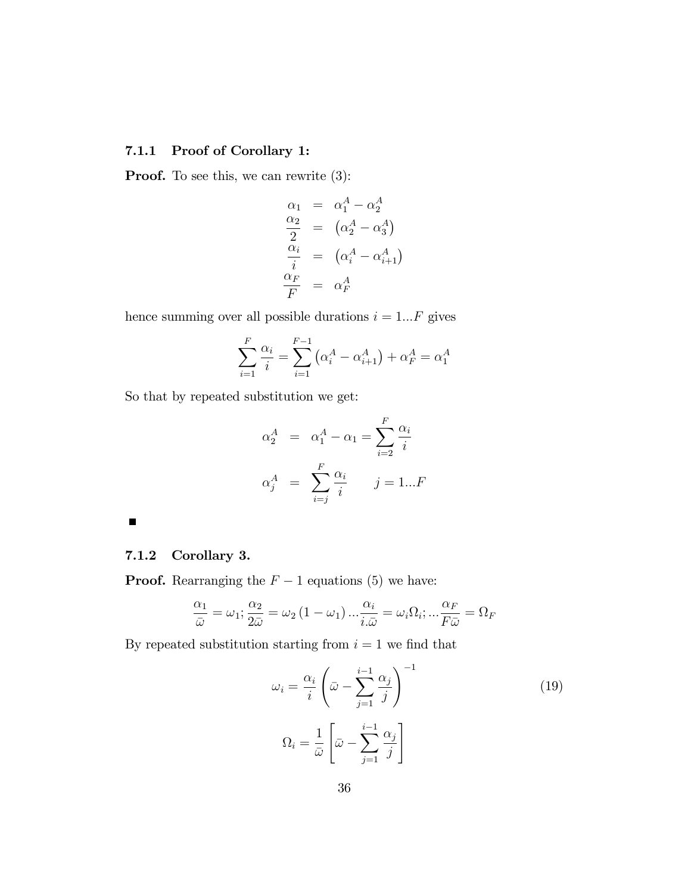### 7.1.1 Proof of Corollary 1:

**Proof.** To see this, we can rewrite  $(3)$ :

$$
\alpha_1 = \alpha_1^A - \alpha_2^A
$$
  
\n
$$
\frac{\alpha_2}{2} = (\alpha_2^A - \alpha_3^A)
$$
  
\n
$$
\frac{\alpha_i}{i} = (\alpha_i^A - \alpha_{i+1}^A)
$$
  
\n
$$
\frac{\alpha_F}{F} = \alpha_F^A
$$

hence summing over all possible durations  $i = 1...F$  gives

$$
\sum_{i=1}^{F} \frac{\alpha_i}{i} = \sum_{i=1}^{F-1} (\alpha_i^A - \alpha_{i+1}^A) + \alpha_F^A = \alpha_1^A
$$

So that by repeated substitution we get:

$$
\alpha_2^A = \alpha_1^A - \alpha_1 = \sum_{i=2}^F \frac{\alpha_i}{i}
$$

$$
\alpha_j^A = \sum_{i=j}^F \frac{\alpha_i}{i} \qquad j = 1...F
$$

#### $\blacksquare$

### 7.1.2 Corollary 3.

**Proof.** Rearranging the  $F - 1$  equations (5) we have:

$$
\frac{\alpha_1}{\bar{\omega}} = \omega_1; \frac{\alpha_2}{2\bar{\omega}} = \omega_2 (1 - \omega_1) \dots \frac{\alpha_i}{i \bar{\omega}} = \omega_i \Omega_i; \dots \frac{\alpha_F}{F \bar{\omega}} = \Omega_F
$$

By repeated substitution starting from  $i = 1$  we find that

$$
\omega_i = \frac{\alpha_i}{i} \left( \bar{\omega} - \sum_{j=1}^{i-1} \frac{\alpha_j}{j} \right)^{-1}
$$
  

$$
\Omega_i = \frac{1}{\bar{\omega}} \left[ \bar{\omega} - \sum_{j=1}^{i-1} \frac{\alpha_j}{j} \right]
$$
 (19)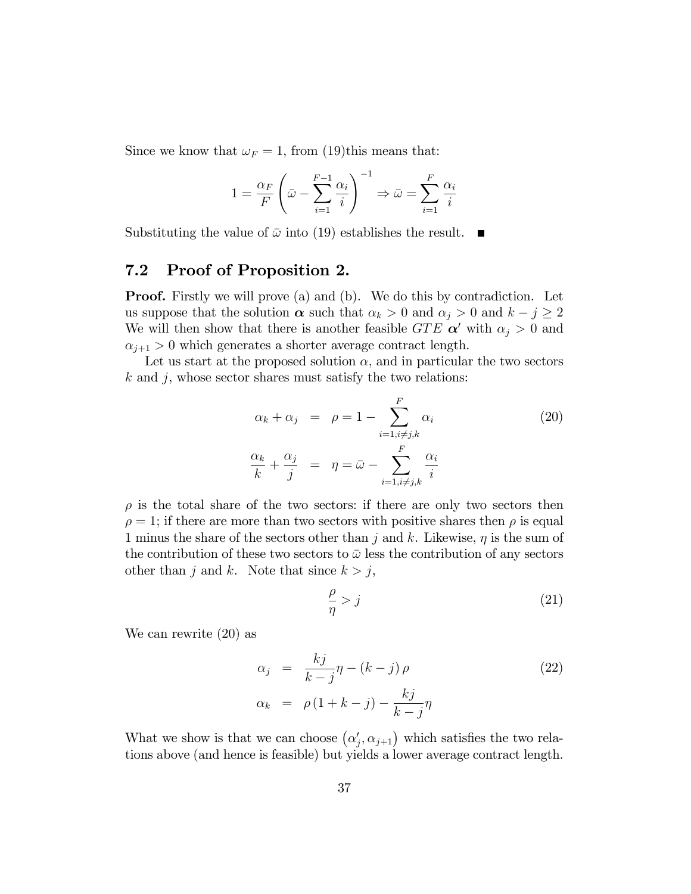Since we know that  $\omega_F = 1$ , from (19)this means that:

$$
1 = \frac{\alpha_F}{F} \left( \bar{\omega} - \sum_{i=1}^{F-1} \frac{\alpha_i}{i} \right)^{-1} \Rightarrow \bar{\omega} = \sum_{i=1}^{F} \frac{\alpha_i}{i}
$$

Substituting the value of  $\bar{\omega}$  into (19) establishes the result.  $\blacksquare$ 

### 7.2 Proof of Proposition 2.

**Proof.** Firstly we will prove (a) and (b). We do this by contradiction. Let us suppose that the solution  $\alpha$  such that  $\alpha_k > 0$  and  $\alpha_j > 0$  and  $k - j \ge 2$ We will then show that there is another feasible  $GTE \alpha'$  with  $\alpha_i > 0$  and  $\alpha_{j+1} > 0$  which generates a shorter average contract length.

Let us start at the proposed solution  $\alpha$ , and in particular the two sectors  $k$  and  $j$ , whose sector shares must satisfy the two relations:

$$
\alpha_k + \alpha_j = \rho = 1 - \sum_{i=1, i \neq j, k}^{F} \alpha_i
$$
\n
$$
\frac{\alpha_k}{k} + \frac{\alpha_j}{j} = \eta = \bar{\omega} - \sum_{i=1, i \neq j, k}^{F} \frac{\alpha_i}{i}
$$
\n(20)

 $\rho$  is the total share of the two sectors: if there are only two sectors then  $\rho = 1$ ; if there are more than two sectors with positive shares then  $\rho$  is equal 1 minus the share of the sectors other than j and k. Likewise,  $\eta$  is the sum of the contribution of these two sectors to  $\bar{\omega}$  less the contribution of any sectors other than j and k. Note that since  $k > j$ ,

$$
\frac{\rho}{\eta} > j \tag{21}
$$

We can rewrite (20) as

$$
\alpha_j = \frac{kj}{k-j}\eta - (k-j)\rho
$$
\n
$$
\alpha_k = \rho(1+k-j) - \frac{kj}{k-j}\eta
$$
\n(22)

What we show is that we can choose  $(\alpha_j', \alpha_{j+1})$  which satisfies the two relations above (and hence is feasible) but yields a lower average contract length.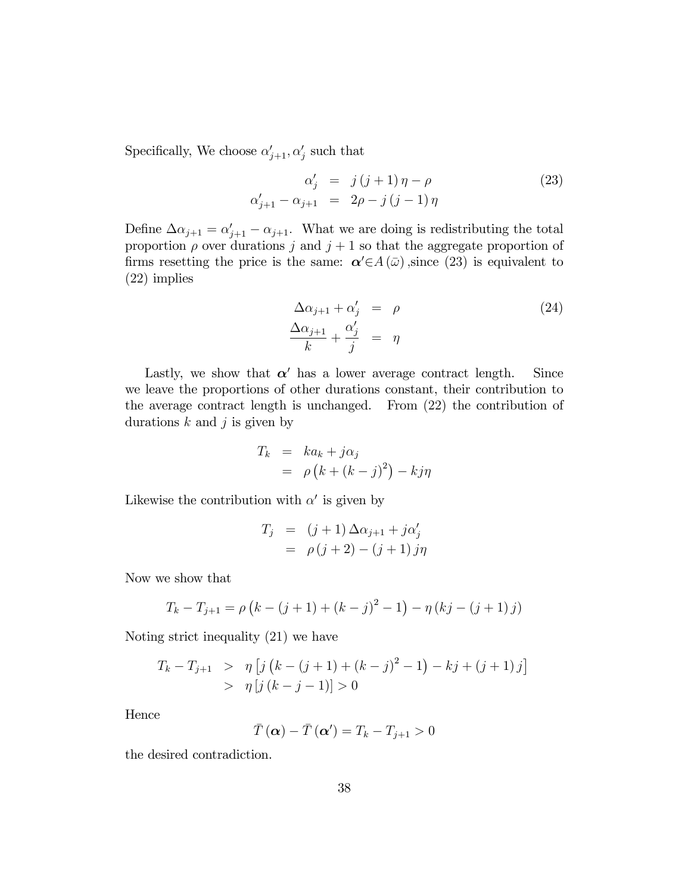Specifically, We choose  $\alpha'_{j+1}, \alpha'_{j}$  such that

$$
\alpha'_{j} = j(j+1)\eta - \rho
$$
\n
$$
\alpha'_{j+1} - \alpha_{j+1} = 2\rho - j(j-1)\eta
$$
\n(23)

Define  $\Delta \alpha_{j+1} = \alpha'_{j+1} - \alpha_{j+1}$ . What we are doing is redistributing the total proportion  $\rho$  over durations j and  $j + 1$  so that the aggregate proportion of firms resetting the price is the same:  $\alpha' \in A(\bar{\omega})$ , since (23) is equivalent to (22) implies

$$
\Delta \alpha_{j+1} + \alpha'_j = \rho
$$
\n
$$
\frac{\Delta \alpha_{j+1}}{k} + \frac{\alpha'_j}{j} = \eta
$$
\n(24)

Lastly, we show that  $\alpha'$  has a lower average contract length. Since we leave the proportions of other durations constant, their contribution to the average contract length is unchanged. From (22) the contribution of durations  $k$  and  $j$  is given by

$$
T_k = ka_k + j\alpha_j
$$
  
=  $\rho (k + (k - j)^2) - kj\eta$ 

Likewise the contribution with  $\alpha'$  is given by

$$
T_j = (j+1)\Delta\alpha_{j+1} + j\alpha'_j
$$
  
=  $\rho(j+2) - (j+1)j\eta$ 

Now we show that

$$
T_k - T_{j+1} = \rho \left( k - (j+1) + (k-j)^2 - 1 \right) - \eta \left( kj - (j+1)j \right)
$$

Noting strict inequality (21) we have

$$
T_k - T_{j+1} > \eta \left[ j \left( k - (j+1) + (k-j)^2 - 1 \right) - kj + (j+1) j \right]
$$
  
>  $\eta \left[ j \left( k - j - 1 \right) \right] > 0$ 

Hence

$$
\bar{T}(\boldsymbol{\alpha}) - \bar{T}(\boldsymbol{\alpha}') = T_k - T_{j+1} > 0
$$

the desired contradiction.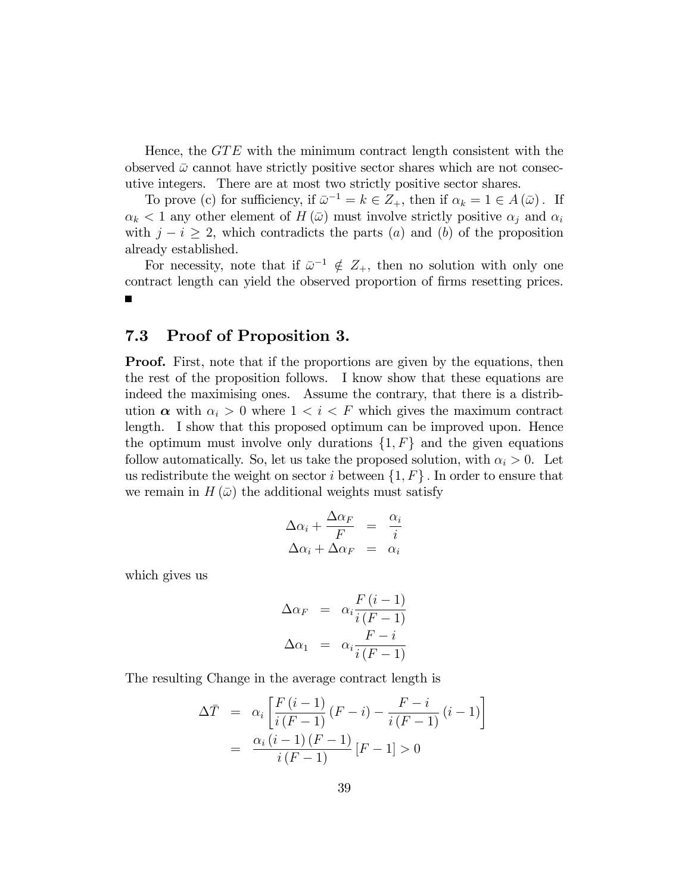Hence, the  $GTE$  with the minimum contract length consistent with the observed  $\bar{\omega}$  cannot have strictly positive sector shares which are not consecutive integers. There are at most two strictly positive sector shares.

To prove (c) for sufficiency, if  $\bar{\omega}^{-1} = k \in Z_+$ , then if  $\alpha_k = 1 \in A(\bar{\omega})$ . If  $\alpha_k < 1$  any other element of  $H(\bar{\omega})$  must involve strictly positive  $\alpha_j$  and  $\alpha_i$ with  $j - i \geq 2$ , which contradicts the parts (a) and (b) of the proposition already established.

For necessity, note that if  $\bar{\omega}^{-1} \notin Z_+$ , then no solution with only one contract length can yield the observed proportion of firms resetting prices.

#### 7.3 Proof of Proposition 3.

**Proof.** First, note that if the proportions are given by the equations, then the rest of the proposition follows. I know show that these equations are indeed the maximising ones. Assume the contrary, that there is a distribution  $\alpha$  with  $\alpha_i > 0$  where  $1 < i < F$  which gives the maximum contract length. I show that this proposed optimum can be improved upon. Hence the optimum must involve only durations  $\{1, F\}$  and the given equations follow automatically. So, let us take the proposed solution, with  $\alpha_i > 0$ . Let us redistribute the weight on sector i between  $\{1, F\}$ . In order to ensure that we remain in  $H(\bar{\omega})$  the additional weights must satisfy

$$
\Delta \alpha_i + \frac{\Delta \alpha_F}{F} = \frac{\alpha_i}{i}
$$

$$
\Delta \alpha_i + \Delta \alpha_F = \alpha_i
$$

which gives us

$$
\Delta \alpha_F = \alpha_i \frac{F(i-1)}{i(F-1)}
$$

$$
\Delta \alpha_1 = \alpha_i \frac{F-i}{i(F-1)}
$$

The resulting Change in the average contract length is

$$
\Delta \bar{T} = \alpha_i \left[ \frac{F(i-1)}{i(F-1)} (F-i) - \frac{F-i}{i(F-1)} (i-1) \right]
$$

$$
= \frac{\alpha_i (i-1) (F-1)}{i(F-1)} [F-1] > 0
$$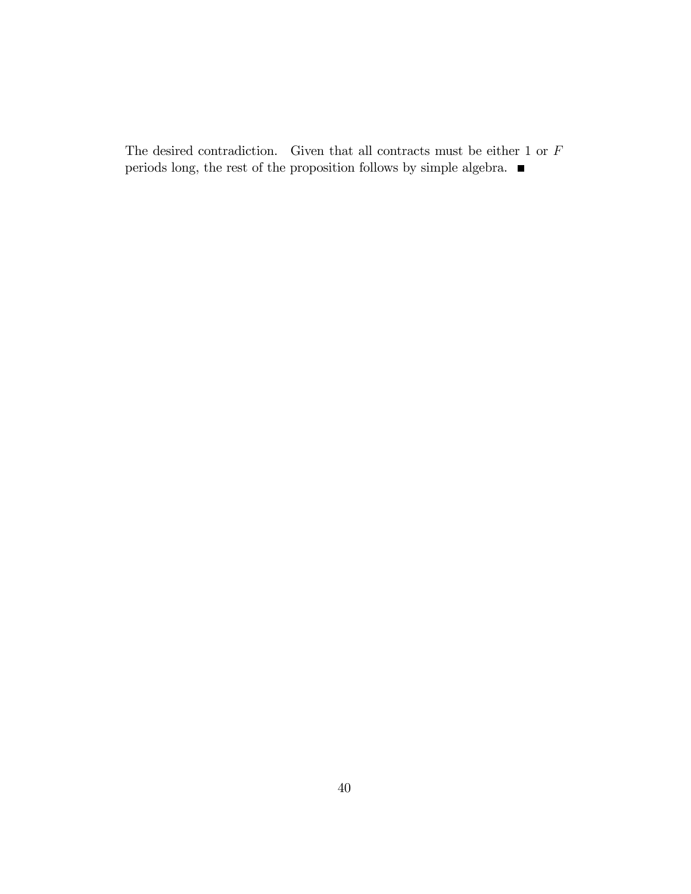The desired contradiction. Given that all contracts must be either 1 or  ${\cal F}$ periods long, the rest of the proposition follows by simple algebra.  $\blacksquare$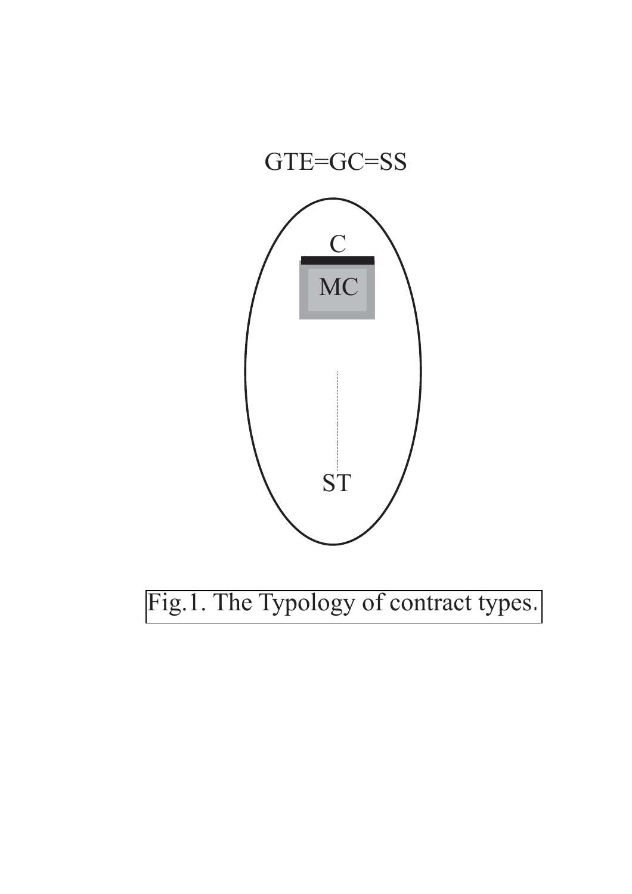

Fig.1. The Typology of contract types*.*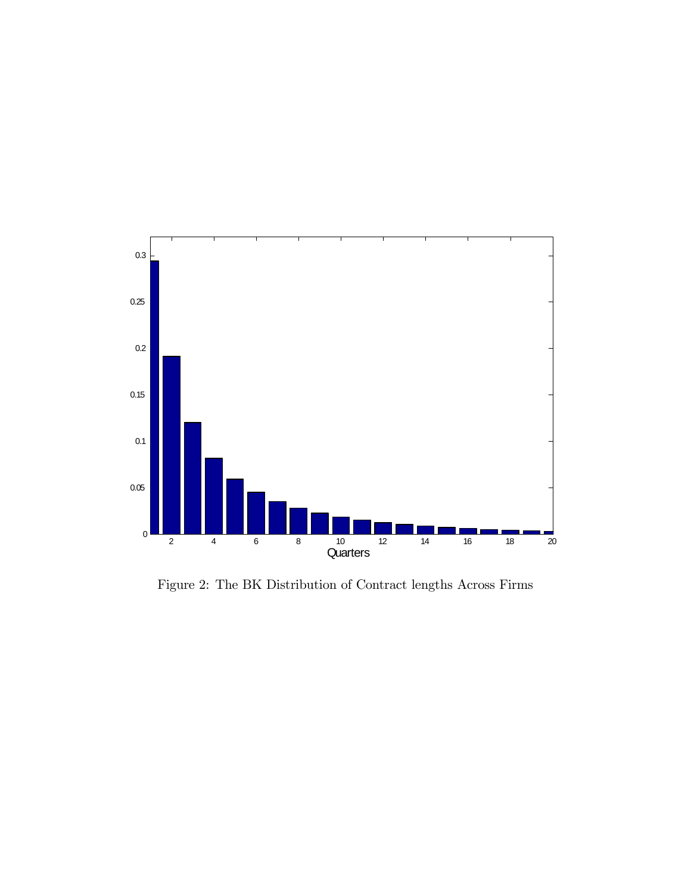

Figure 2: The BK Distribution of Contract lengths Across Firms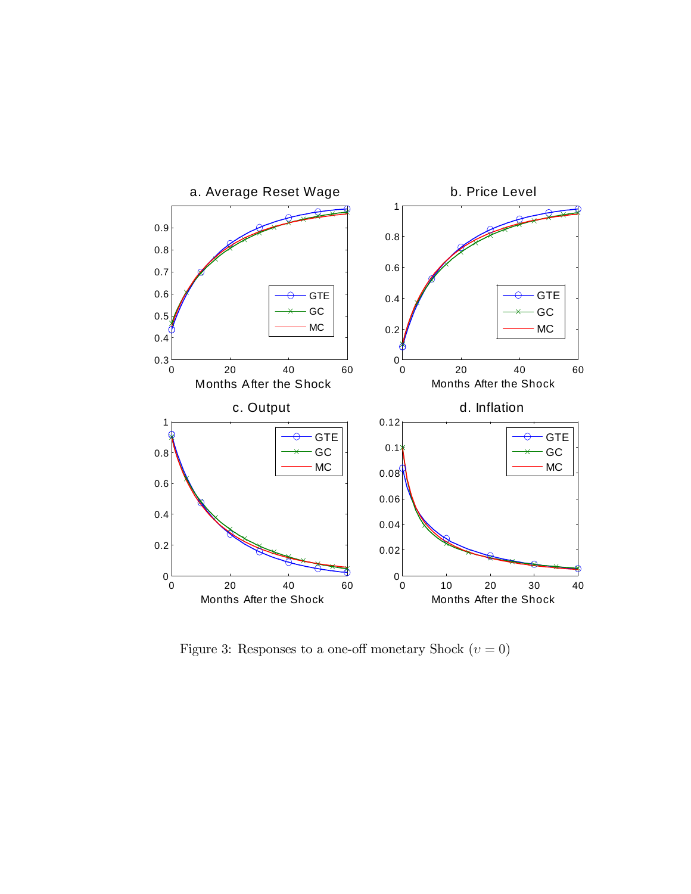

Figure 3: Responses to a one-off monetary Shock  $(v = 0)$